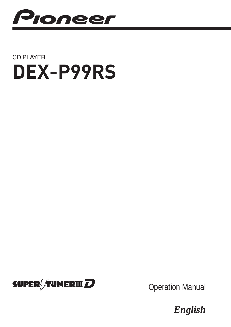

# CD PLAYER **[DEX-P99RS](#page-1-0)**



Operation Manual

*English*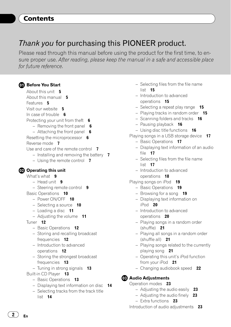## <span id="page-1-0"></span>**Contents**

# Thank you for purchasing this PIONEER product.

Please read through this manual before using the product for the first time, to ensure proper use. After reading, please keep the manual in a safe and accessible place for future reference.

#### **GD** [Before You Start](#page-4-0) [About this unit](#page-4-0) 5

[About this manual](#page-4-0) 5 [Features](#page-4-0) 5 [Visit our website](#page-4-0) 5 [In case of trouble](#page-5-0)  $6$ [Protecting your unit from theft](#page-5-0) 6  $-$  [Removing the front panel](#page-5-0) 6 – [Attaching the front panel](#page-5-0)  $\theta$ [Resetting the microprocessor](#page-5-0) 6 [Reverse mode](#page-6-0) 7 [Use and care of the remote control](#page-6-0) 7  $-$  [Installing and removing the battery](#page-6-0)  $7$ – [Using the remote control](#page-6-0)  $\overline{\mathbf{7}}$ [Operating this unit](#page-8-0) What'[s what](#page-8-0)  $9$  $-$  [Head unit](#page-8-0)  $9$ – [Steering remote control](#page-8-0) 9 [Basic Operations](#page-9-0) 10 – [Power ON/OFF](#page-9-0) 10  $-$  [Selecting a source](#page-9-0)  $10$  $-$  [Loading a disc](#page-10-0) 11  $-$  [Adjusting the volume](#page-10-0)  $11$ [Tuner](#page-11-0) 12 – [Basic Operations](#page-11-0) 12 – [Storing and recalling broadcast](#page-11-0) [frequencies](#page-11-0) 12 – [Introduction to advanced](#page-11-0) [operations](#page-11-0) 12 – [Storing the strongest broadcast](#page-12-0) [frequencies](#page-12-0) 13  $-$  [Tuning in strong signals](#page-12-0) 13 [Built-in CD Player](#page-12-0) 13

- [Basic Operations](#page-12-0) 13
- $-$  [Displaying text information on disc](#page-13-0) 14
- [Selecting tracks from the track title](#page-13-0)
	- [list](#page-13-0) 14
- [Selecting files from the file name](#page-14-0) [list](#page-14-0) 15
- [Introduction to advanced](#page-14-0) [operations](#page-14-0) 15
- $-$  [Selecting a repeat play range](#page-14-0) 15
- $-$  [Playing tracks in random order](#page-14-0) 15
- $-$  [Scanning folders and tracks](#page-15-0) 16
- $-$  [Pausing playback](#page-15-0) 16
- $-$  [Using disc title functions](#page-15-0) 16
- [Playing songs in a USB storage device](#page-16-0) 17
	- [Basic Operations](#page-16-0) 17
	- [Displaying text information of an audio](#page-16-0) [file](#page-16-0) 17
	- [Selecting files from the file name](#page-16-0) [list](#page-16-0) 17
	- [Introduction to advanced](#page-17-0) [operations](#page-17-0) 18
- [Playing songs on iPod](#page-18-0) 19
	- [Basic Operations](#page-18-0) 19
	- $-$  [Browsing for a song](#page-18-0) 19
	- [Displaying text information on](#page-19-0)  $i$ Pod 20
	- [Introduction to advanced](#page-19-0) [operations](#page-19-0) 20
	- [Playing songs in a random order](#page-20-0) [\(shuffle\)](#page-20-0) 21
	- [Playing all songs in a random order](#page-20-0) [\(shuffle all\)](#page-20-0) 21
	- [Playing songs related to the currently](#page-20-0) [playing song](#page-20-0) 21
	- [Operating this unit](#page-20-0)'s iPod function [from your iPod](#page-20-0) 21
	- $-$  [Changing audiobook speed](#page-21-0) 22

### <sup>6</sup> [Audio Adjustments](#page-22-0)

[Operation modes](#page-22-0) 23

- $-$  [Adjusting the audio easily](#page-22-0) 23
- [Adjusting the audio finely](#page-22-0)  $23$
- [Extra functions](#page-22-0) 23
- [Introduction of audio adjustments](#page-22-0) 23

2  $)$  En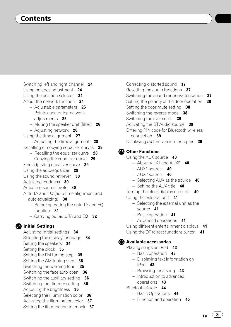## Contents

- [Switching left and right channel](#page-23-0) 24 [Using balance adjustment](#page-23-0) 24 [Using the position selector](#page-23-0) 24 [About the network function](#page-23-0) 24  $-$  [Adjustable parameters](#page-24-0) 25 – [Points concerning network](#page-24-0) [adjustments](#page-24-0) 25 – [Muting the speaker unit \(filter\)](#page-25-0)  $26$  $-$  [Adjusting network](#page-25-0) 26 [Using the time alignment](#page-26-0) 27  $-$  [Adjusting the time alignment](#page-27-0) 28 [Recalling or copying equalizer curves](#page-27-0) 28 – [Recalling the equalizer curve](#page-27-0)  $28$ – [Copying the equalizer curve](#page-28-0)  $29$ [Fine-adjusting equalizer curve](#page-28-0) 29 [Using the auto-equalizer](#page-28-0) 29 [Using the sound retriever](#page-29-0) 30 [Adjusting loudness](#page-29-0) 30 [Adjusting source levels](#page-29-0) 30 [Auto TA and EQ \(auto-time alignment and](#page-29-0) [auto-equalizing\)](#page-29-0) 30 – [Before operating the auto TA and EQ](#page-30-0) [function](#page-30-0) 31 – Carrying out auto TA and  $EQ = 32$ **1** [Initial Settings](#page-33-0) [Adjusting initial settings](#page-33-0) 34 [Selecting the display language](#page-33-0) 34 [Setting the speakers](#page-33-0) 34 [Setting the clock](#page-34-0) 35 [Setting the FM tuning step](#page-34-0)  $35$ [Setting the AM tuning step](#page-34-0)  $35$ 
	- [Switching the warning tone](#page-34-0) 35 [Switching the face auto open](#page-35-0) 36 [Switching the auxiliary setting](#page-35-0) 36 [Switching the dimmer setting](#page-35-0) 36 [Adjusting the brightness](#page-35-0) 36
	- [Selecting the illumination color](#page-35-0) 36
	- [Adjusting the illumination color](#page-36-0)  $37$
	- [Setting the illumination interlock](#page-36-0) 37

[Correcting distorted sound](#page-36-0)[Resetting the audio functions](#page-36-0)[Switching the sound muting/attenuation](#page-36-0)[Setting the polarity of the door operation](#page-37-0) [Setting the door mute setting](#page-37-0)[Switching the reverse mode](#page-37-0)[Switching the ever scroll](#page-38-0)[Activating the BT Audio source](#page-38-0)[Entering PIN code for Bluetooth wireless](#page-38-0) [connection](#page-38-0) 39 [Displaying system version for repair](#page-38-0)

#### **CB** [Other Functions](#page-39-0)

[Using the AUX source](#page-39-0) 40

- $-$  [About AUX1 and AUX2](#page-39-0) 40
- $-$  [AUX1 source:](#page-39-0) 40
- $-$  [AUX2 source:](#page-39-0) 40
- $-$  [Selecting AUX as the source](#page-39-0)  $40$
- $-$  [Setting the AUX title](#page-39-0)  $40$

[Turning the clock display on or off](#page-39-0)  $40$ [Using the external unit](#page-40-0) 41

- [Selecting the external unit as the](#page-40-0) [source](#page-40-0) 41
- [Basic operation](#page-40-0) 41
- [Advanced operations](#page-40-0) 41

[Using different entertainment displays](#page-40-0) 41 [Using the DF \(direct function\) button](#page-40-0) 41

#### **63 [Available accessories](#page-42-0)**

[Playing songs on iPod](#page-42-0) 43

- [Basic operation](#page-42-0) 43
- [Displaying text information on](#page-42-0) [iPod](#page-42-0) 43
- $-$  [Browsing for a song](#page-42-0) 43
- [Introduction to advanced](#page-42-0) [operations](#page-42-0) 43
- [Bluetooth Audio](#page-43-0) 44
	- [Basic Operations](#page-43-0) 44
	- [Function and operation](#page-44-0) 45

 $E_n$   $(3)$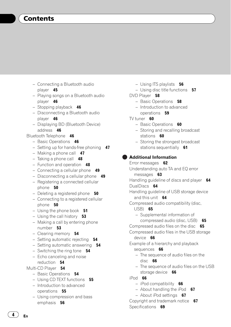- [Connecting a Bluetooth audio](#page-44-0) [player](#page-44-0) 45
- [Playing songs on a Bluetooth audio](#page-45-0) [player](#page-45-0) 46
- $-$  [Stopping playback](#page-45-0) 46
- [Disconnecting a Bluetooth audio](#page-45-0) [player](#page-45-0) 46
- [Displaying BD \(Bluetooth Device\)](#page-45-0) [address](#page-45-0) 46
- [Bluetooth Telephone](#page-45-0) 46
	- [Basic Operations](#page-45-0) 46
	- $-$  [Setting up for hands-free phoning](#page-46-0)  $47$
	- $-$  [Making a phone call](#page-46-0)  $47$
	- $-$  [Taking a phone call](#page-47-0) 48
	- $-$  [Function and operation](#page-47-0)  $48$
	- $-$  [Connecting a cellular phone](#page-48-0)  $49$
	- $-$  [Disconnecting a cellular phone](#page-48-0)  $49$
	- [Registering a connected cellular](#page-49-0) [phone](#page-49-0) 50
	- $-$  [Deleting a registered phone](#page-49-0)  $50$
	- [Connecting to a registered cellular](#page-49-0) [phone](#page-49-0) 50
	- $-$  [Using the phone book](#page-50-0)  $51$
	- [Using the call history](#page-52-0)  $53$
	- [Making a call by entering phone](#page-52-0) [number](#page-52-0) 53
	- $-$  [Clearing memory](#page-53-0) 54
	- $-$  [Setting automatic rejecting](#page-53-0) 54
	- $-$  [Setting automatic answering](#page-53-0) 54
	- $-$  [Switching the ring tone](#page-53-0)  $54$
	- [Echo canceling and noise](#page-53-0) [reduction](#page-53-0) 54
- [Multi-CD Player](#page-53-0) 54
	- [Basic Operations](#page-53-0) 54
	- $-$  [Using CD TEXT functions](#page-54-0) 55
	- [Introduction to advanced](#page-54-0) [operations](#page-54-0) 55
	- [Using compression and bass](#page-55-0) [emphasis](#page-55-0) 56
- $-$  [Using ITS playlists](#page-55-0)  $56$
- $-$  [Using disc title functions](#page-56-0) 57
- [DVD Player](#page-57-0) 58
	- $-$  [Basic Operations](#page-57-0) 58
	- [Introduction to advanced](#page-58-0) [operations](#page-58-0) 59
- [TV tuner](#page-59-0)  $60$ 
	- [Basic Operations](#page-59-0) 60
	- [Storing and recalling broadcast](#page-59-0) [stations](#page-59-0) 60
	- [Storing the strongest broadcast](#page-60-0) [stations sequentially](#page-60-0) 61

[Additional Information](#page-61-0) [Error messages](#page-61-0) 62 [Understanding auto TA and EQ error](#page-62-0) [messages](#page-62-0) 63 [Handling guideline of discs and player](#page-63-0) 64 [DualDiscs](#page-63-0) 64 [Handling guideline of USB storage device](#page-63-0) [and this unit](#page-63-0)  $64$ [Compressed audio compatibility \(disc,](#page-64-0) [USB\)](#page-64-0) 65 – [Supplemental information of](#page-64-0) [compressed audio \(disc, USB\)](#page-64-0) 65 [Compressed audio files on the disc](#page-64-0) 65 [Compressed audio files in the USB storage](#page-65-0) [device](#page-65-0) 66 [Example of a hierarchy and playback](#page-65-0) [sequences](#page-65-0) 66 – [The sequence of audio files on the](#page-65-0) [disc](#page-65-0) 66 – [The sequence of audio files on the USB](#page-65-0) [storage device](#page-65-0) 66 [iPod](#page-65-0) 66  $-$  [iPod compatibility](#page-65-0) 66  $-$  [About handling the iPod](#page-66-0)  $67$ 

 $-$  [About iPod settings](#page-66-0) 67 [Copyright and trademark notice](#page-66-0) 67

[Specifications](#page-68-0) 69

**En**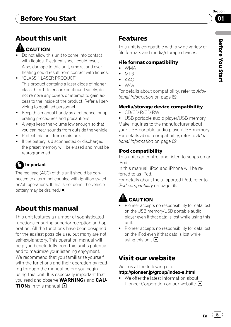# <span id="page-4-0"></span>Before You Start

# About this unit

# **CAUTION**

- Do not allow this unit to come into contact with liquids. Electrical shock could result. Also, damage to this unit, smoke, and overheating could result from contact with liquids.
- ! "CLASS 1 LASER PRODUCT" This product contains a laser diode of higher class than 1. To ensure continued safety, do not remove any covers or attempt to gain access to the inside of the product. Refer all servicing to qualified personnel.
- . Keep this manual handy as a reference for operating procedures and precautions.
- ! Always keep the volume low enough so that you can hear sounds from outside the vehicle.
- Protect this unit from moisture.
- If the battery is disconnected or discharged, the preset memory will be erased and must be reprogrammed.

# Important

The red lead (ACC) of this unit should be connected to a terminal coupled with ignition switch on/off operations. If this is not done, the vehicle battery may be drained.  $\blacksquare$ 

# About this manual

This unit features a number of sophisticated functions ensuring superior reception and operation. All the functions have been designed for the easiest possible use, but many are not self-explanatory. This operation manual will help you benefit fully from this unit's potential and to maximize your listening enjoyment. We recommend that you familiarize yourself with the functions and their operation by reading through the manual before you begin using this unit. It is especially important that you read and observe **WARNING**s and **CAU-TION**s in this manual.  $\blacksquare$ 

# Features

This unit is compatible with a wide variety of file formats and media/storage devices.

## File format compatibility

- ! WMA
- ! MP3
- $\bullet$   $\triangle \triangle \triangle$
- $\bullet$   $\sqrt{N/\Delta V}$

For details about compatibility, refer to [Addi](#page-61-0)[tional Information](#page-61-0) on page 62.

## Media/storage device compatibility

! CD/CD-R/CD-RW

• USB portable audio player/USB memory Make inquiries to the manufacturer about your USB portable audio player/USB memory. For details about compatibility, refer to [Addi](#page-61-0)[tional Information](#page-61-0) on page 62.

## iPod compatibility

This unit can control and listen to songs on an iPod.

In this manual, iPod and iPhone will be referred to as iPod.

For details about the supported iPod, refer to [iPod compatibility](#page-65-0) on page 66.

# **CAUTION**

- Pioneer accepts no responsibility for data lost on the USB memory/USB portable audio player even if that data is lost while using this unit.
- ! Pioneer accepts no responsibility for data lost on the iPod even if that data is lost while using this unit.  $\Box$

# Visit our website

Visit us at the following site:

## http://pioneer.jp/group/index-e.html

We offer the latest information about Pioneer Corporation on our website.<sup>■</sup>

 $E_n$  (5)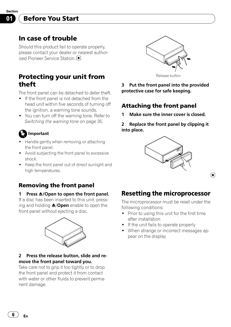<span id="page-5-0"></span>Section 01

# In case of trouble

Should this product fail to operate properly, please contact your dealer or nearest authorized Pioneer Service Station.<sup>1</sup>

# Protecting your unit from theft

The front panel can be detached to deter theft.

- ! If the front panel is not detached from the head unit within five seconds of turning off the ignition, a warning tone sounds.
- ! You can turn off the warning tone. Refer to [Switching the warning tone](#page-34-0) on page 35.

# Important

- Handle gently when removing or attaching the front panel.
- ! Avoid subjecting the front panel to excessive shock.
- ! Keep the front panel out of direct sunlight and high temperatures.

# Removing the front panel

#### 1 Press  $\triangle$ /Open to open the front panel.

If a disc has been inserted to this unit, pressing and holding  $\triangle$ /Open enable to open the front panel without ejecting a disc.



### 2 Press the release button, slide and remove the front panel toward you.

Take care not to grip it too tightly or to drop the front panel and protect it from contact with water or other fluids to prevent permanent damage.



3 Put the front panel into the provided protective case for safe keeping.

# Attaching the front panel

Make sure the inner cover is closed.

2 Replace the front panel by clipping it into place.



 $\Box$ 

# Resetting the microprocessor

The microprocessor must be reset under the following conditions:

- Prior to using this unit for the first time after installation
- If the unit fails to operate properly
- When strange or incorrect messages appear on the display

6 En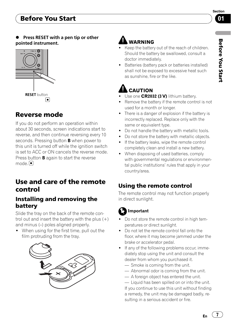# <span id="page-6-0"></span>Before You Start



Before

You Start

## Press RESET with a pen tip or other pointed instrument.



# Reverse mode

If you do not perform an operation within about 30 seconds, screen indications start to reverse, and then continue reversing every 10 seconds. Pressing button **B** when power to this unit is turned off while the ignition switch is set to ACC or ON cancels the reverse mode. Press button **B** again to start the reverse mode.<sup>1</sup>

# Use and care of the remote control

## Installing and removing the battery

Slide the tray on the back of the remote control out and insert the battery with the plus  $(+)$ and minus (–) poles aligned properly.

• When using for the first time, pull out the film protruding from the tray.



# **WARNING**

- Keep the battery out of the reach of children. Should the battery be swallowed, consult a doctor immediately.
- Batteries (battery pack or batteries installed) shall not be exposed to excessive heat such as sunshine, fire or the like.

# CAUTION

- Use one CR2032 (3 V) lithium battery.
- Remove the battery if the remote control is not used for a month or longer.
- There is a danger of explosion if the battery is incorrectly replaced. Replace only with the same or equivalent type.
- ! Do not handle the battery with metallic tools.
- Do not store the battery with metallic objects.
- If the battery leaks, wipe the remote control completely clean and install a new battery.
- When disposing of used batteries, comply with governmental regulations or environmental public institutions' rules that apply in your country/area.

# Using the remote control

The remote control may not function properly in direct sunlight.

# Important

- Do not store the remote control in high temperatures or direct sunlight.
- ! Do not let the remote control fall onto the floor, where it may become jammed under the brake or accelerator pedal.
- ! If any of the following problems occur, immediately stop using the unit and consult the dealer from whom you purchased it.
	- Smoke is coming from the unit.
	- Abnormal odor is coming from the unit.
	- A foreign object has entered the unit.

— Liquid has been spilled on or into the unit. If you continue to use this unit without finding a remedy, the unit may be damaged badly, resulting in a serious accident or fire.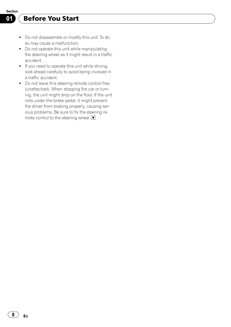# Before You Start

- ! Do not disassemble or modify this unit. To do so may cause a malfunction.
- Do not operate this unit while manipulating the steering wheel as it might result in a traffic accident.
- ! If you need to operate this unit while driving, look ahead carefully to avoid being involved in a traffic accident.
- ! Do not leave this steering remote control free (unattached). When stopping the car or turning, the unit might drop on the floor. If the unit rolls under the brake pedal, it might prevent the driver from braking properly, causing serious problems. Be sure to fix the steering remote control to the steering wheel.  $\blacksquare$

8  $\mathcal{)}$  En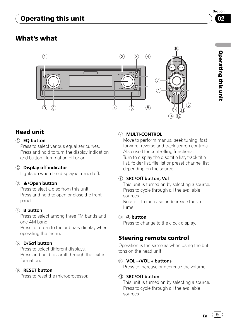# <span id="page-8-0"></span>Operating this unit

# What's what



## Head unit

#### 1 EQ button

Press to select various equalizer curves. Press and hold to turn the display indication and button illumination off or on.

#### 2 Display off indicator

Lights up when the display is turned off.

#### 3 **A/Open button**

Press to eject a disc from this unit. Press and hold to open or close the front panel.

#### 4 B button

Press to select among three FM bands and one AM band.

Press to return to the ordinary display when operating the menu.

#### 5 D/Scrl button

Press to select different displays. Press and hold to scroll through the text information.

#### 6 RESET button

Press to reset the microprocessor.

#### 7 MULTI-CONTROL

Move to perform manual seek tuning, fast forward, reverse and track search controls. Also used for controlling functions. Turn to display the disc title list, track title list, folder list, file list or preset channel list depending on the source.

#### 8 SRC/Off button, Vol

This unit is turned on by selecting a source. Press to cycle through all the available sources.

Rotate it to increase or decrease the volume.

#### 9 button

Press to change to the clock display.

## Steering remote control

Operation is the same as when using the buttons on the head unit.

#### $\omega$  VOL –/VOL + buttons

Press to increase or decrease the volume.

#### *I***D** SRC/Off button

This unit is turned on by selecting a source. Press to cycle through all the available sources.

 $E_n$  (9)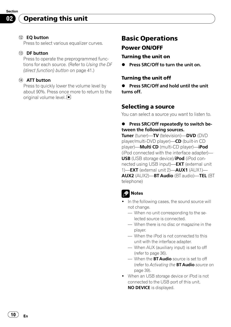# <span id="page-9-0"></span>Operating this unit

#### (12) EO button

Press to select various equalizer curves.

#### 13 DF button

Press to operate the preprogrammed functions for each source. (Refer to [Using the DF](#page-40-0) [\(direct function\) button](#page-40-0) on page 41.)

#### (14) ATT button

Press to quickly lower the volume level by about 90%. Press once more to return to the original volume level.  $\Box$ 

# Basic Operations Power ON/OFF

#### Turning the unit on

Press SRC/Off to turn the unit on.

#### Turning the unit off

● Press SRC/Off and hold until the unit turns off.

### Selecting a source

You can select a source you want to listen to.

#### **•** Press SRC/Off repeatedly to switch between the following sources.

Tuner (tuner)-TV (television)-DVD (DVD player/multi-DVD player)—CD (built-in CD player)—Multi CD (multi-CD player)—iPod (iPod connected with the interface adapter)— USB (USB storage device)/iPod (iPod connected using USB input)—**EXT** (external unit 1)—EXT (external unit 2)—AUX1 (AUX1)— AUX2 (AUX2)—BT Audio (BT audio)—TEL (BT telephone)

## Notes

- In the following cases, the sound source will not change.
	- When no unit corresponding to the selected source is connected.
	- When there is no disc or magazine in the player.
	- When the iPod is not connected to this unit with the interface adapter.
	- When AUX (auxiliary input) is set to off (refer to [page 36](#page-35-0)).
	- When the **BT Audio** source is set to off (refer to [Activating the](#page-38-0) [BT Audio](#page-38-0) [source](#page-38-0) on [page 39\)](#page-38-0).
- When an USB storage device or iPod is not connected to the USB port of this unit, NO DEVICE is displayed.

10  $\rangle$   $_{\rm En}$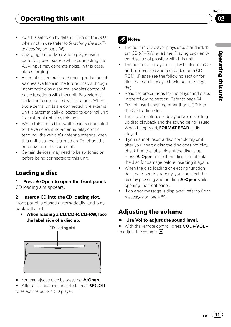Section በ2

- <span id="page-10-0"></span>• Charging the portable audio player using car's DC power source while connecting it to AUX input may generate noise. In this case, stop charging.
- External unit refers to a Pioneer product (such as ones available in the future) that, although incompatible as a source, enables control of basic functions with this unit. Two external units can be controlled with this unit. When two external units are connected, the external unit is automatically allocated to external unit 1 or external unit 2 by this unit.
- When this unit's blue/white lead is connected to the vehicle's auto-antenna relay control terminal, the vehicle's antenna extends when this unit's source is turned on. To retract the antenna, turn the source off.
- Certain devices may need to be switched on before being connected to this unit.

# Loading a disc

1 Press  $\triangle$ /Open to open the front panel. CD loading slot appears.

## 2 Insert a CD into the CD loading slot.

Front panel is closed automatically, and playback will start.

• When loading a CD/CD-R/CD-RW, face the label side of a disc up.



- You can eject a disc by pressing  $\triangle$ /**Open**.
- After a CD has been inserted, press SRC/Off

to select the built-in CD player.

# **Notes**

- The built-in CD player plays one, standard, 12cm CD (-R/-RW) at a time. Playing back an 8 cm disc is not possible with this unit.
- ! The built-in CD player can play back audio CD and compressed audio recorded on a CD-ROM. (Please see the following section for files that can be played back. Refer to [page](#page-64-0) [65.](#page-64-0))
- Read the precautions for the player and discs in the following section. Refer to [page 64.](#page-63-0)
- Do not insert anything other than a CD into the CD loading slot.
- There is sometimes a delay between starting up disc playback and the sound being issued. When being read, FORMAT READ is displayed.
- ! If you cannot insert a disc completely or if after you insert a disc the disc does not play, check that the label side of the disc is up. Press  $\triangle$ /Open to eject the disc, and check the disc for damage before inserting it again.
- When the disc loading or ejecting function does not operate properly, you can eject the disc by pressing and holding  $\triangle$ /Open while opening the front panel.
- If an error message is displayed, refer to [Error](#page-61-0) messages [on page 62](#page-61-0).

# Adjusting the volume

- Use Vol to adiust the sound level.
- With the remote control, press VOL +/VOL to adjust the volume.  $\Box$

Operatingthis unit

 $E_n$  (11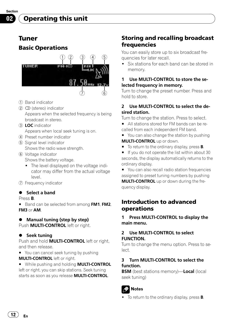# Tuner Basic Operations



- 1 Band indicator
- 2 CD (stereo) indicator Appears when the selected frequency is being broadcast in stereo.
- 3 LOC indicator Appears when local seek tuning is on.
- 4 Preset number indicator
- 5 Signal level indicator Shows the radio wave strength.
- 6 Voltage indicator Shows the battery voltage.
	- The level displayed on the voltage indicator may differ from the actual voltage level.
- 7 Frequency indicator

### $\bullet$  Select a band

Press B.

12) <sub>En</sub>

**Band can be selected from among FM1, FM2,** FM3 or AM.

### Manual tuning (step by step)

Push **MULTI-CONTROL** left or right.

### **•** Seek tuning

Push and hold **MULTI-CONTROL** left or right, and then release.

■ You can cancel seek tuning by pushing MULTI-CONTROL left or right.

**While pushing and holding MULTI-CONTROL** left or right, you can skip stations. Seek tuning starts as soon as you release **MULTI-CONTROL**.

# Storing and recalling broadcast frequencies

You can easily store up to six broadcast frequencies for later recall.

Six stations for each band can be stored in memory.

#### 1 Use MULTI-CONTROL to store the selected frequency in memory.

Turn to change the preset number. Press and hold to store.

#### 2 Use MULTI-CONTROL to select the desired station.

Turn to change the station. Press to select.

■ All stations stored for FM bands can be recalled from each independent FM band.

■ You can also change the station by pushing **MULTI-CONTROL** up or down.

- $\blacksquare$  To return to the ordinary display, press **B**.
- If you do not operate the list within about 30 seconds, the display automatically returns to the ordinary display.
- You can also recall radio station frequencies assigned to preset tuning numbers by pushing **MULTI-CONTROL** up or down during the frequency display.

## Introduction to advanced operations

1 Press MULTI-CONTROL to display the main menu.

#### 2 Use MULTI-CONTROL to select FUNCTION.

Turn to change the menu option. Press to select.

#### 3 Turn MULTI-CONTROL to select the function.

**BSM** (best stations memory)—**Local** (local seek tuning)



To return to the ordinary display, press **B**.

<span id="page-11-0"></span>Section 02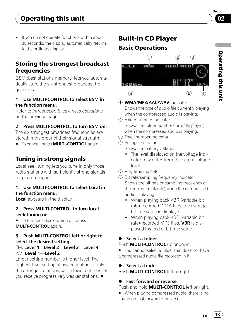<span id="page-12-0"></span>! If you do not operate functions within about 30 seconds, the display automatically returns to the ordinary display.

## Storing the strongest broadcast **frequencies**

BSM (best stations memory) lets you automatically store the six strongest broadcast frequencies.

### 1 Use MULTI-CONTROL to select BSM in the function menu.

Refer to [Introduction to advanced operations](#page-11-0) [on the previous page.](#page-11-0)

## 2 Press MULTI-CONTROL to turn BSM on.

The six strongest broadcast frequencies are stored in the order of their signal strength.

**To cancel, press MULTI-CONTROL again.** 

# Tuning in strong signals

Local seek tuning lets you tune in only those radio stations with sufficiently strong signals for good reception.

#### 1 Use MULTI-CONTROL to select Local in the function menu.

Local appears in the display.

#### 2 Press MULTI-CONTROL to turn local seek tuning on.

■ To turn local seek tuning off, press MULTI-CONTROL again.

### 3 Push MULTI-CONTROL left or right to select the desired setting.

### FM: Level 1—Level 2—Level 3—Level 4 AM: Level 1—Level 2

Larger setting number is higher level. The highest level setting allows reception of only the strongest stations, while lower settings let you receive progressively weaker stations.

# Built-in CD Player

# Basic Operations



- 11 WMA/MP3/AAC/WAV indicator Shows the type of audio file currently playing
- when the compressed audio is playing. 2 Folder number indicator Shows the folder number currently playing when the compressed audio is playing.
- 3 Track number indicator
- 4 Voltage indicator
	- Shows the battery voltage.
	- The level displayed on the voltage indicator may differ from the actual voltage level.
- 5 Play time indicator
- 6 Bit rate/sampling frequency indicator Shows the bit rate or sampling frequency of the current track (file) when the compressed audio is playing.
	- When playing back VBR (variable bit rate)-recorded WMA files, the average bit rate value is displayed.
	- When playing back VBR (variable bit rate)-recorded MP3 files. **VBR** is displayed instead of bit rate value.

## Select a folder

Push **MULTI-CONTROL** up or down.

■ You cannot select a folder that does not have a compressed audio file recorded in it.

## Select a track

Push **MULTI-CONTROL** left or right.

## **Fast forward or reverse**

Push and hold **MULTI-CONTROL** left or right.

■ When playing compressed audio, there is no sound on fast forward or reverse.

 $E_n$  (13)

Section በ2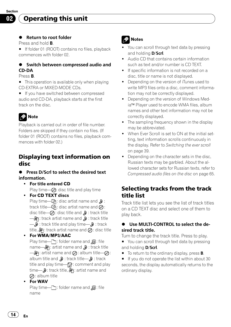# <span id="page-13-0"></span>Operating this unit

#### **•** Return to root folder

Press and hold B.

**If folder 01 (ROOT) contains no files, playback** commences with folder 02.

### • Switch between compressed audio and CD-DA

#### Press B.

 $\blacksquare$  This operation is available only when playing CD-EXTRA or MIXED-MODE CDs.

**If you have switched between compressed** audio and CD-DA, playback starts at the first track on the disc.

# Note

Playback is carried out in order of file number. Folders are skipped if they contain no files. (If folder 01 (ROOT) contains no files, playback commences with folder 02.)

## Displaying text information on disc

### **•** Press D/Scrl to select the desired text information.

- For title entered CD Play time— $\oslash$ : disc title and play time
- For CD TEXT discs Play time— $\mathbb{G}$ 1: disc artist name and  $\mathbb D$ : track title— $\mathbb{G}$ : disc artist name and  $\oslash$ : disc title— $\oslash$ : disc title and  $\jmath$ : track title  $\Box$ A: track artist name and  $\Box$  track title — : track title and play time— : track title,  $\mathbf{a}$ : track artist name and  $\mathbf{a}$ : disc title

! For WMA/MP3/AAC

Play time— : folder name and  $\Box$ : file name— $\partial\!\mathfrak{P}$ : artist name and  $\partial\!\mathfrak{P}$  : track title  $-\partial \mathbf{R}$ : artist name and  $\oslash$ : album title— $\oslash$ : album title and  $\mathbf{D}$  : track title— $\mathbf{D}$  : track title and play time— $\mathbb{Z}$ : comment and play time— $\mathbf{D}$ : track title,  $\mathbf{D}$ ; artist name and  $\oslash$ : album title

• For WAV

Play time— $\Box$ : folder name and  $\Box$ : file name

# **Notes**

- You can scroll through text data by pressing and holding **D/Scrl**.
- ! Audio CD that contains certain information such as text and/or number is CD TEXT.
- If specific information is not recorded on a disc, title or name is not displayed.
- Depending on the version of iTunes used to write MP3 files onto a disc, comment information may not be correctly displayed.
- Depending on the version of Windows Media™ Player used to encode WMA files, album names and other text information may not be correctly displayed.
- The sampling frequency shown in the display may be abbreviated.
- . When Ever Scroll is set to ON at the initial setting, text information scrolls continuously in the display. Refer to [Switching the ever scroll](#page-38-0) [on page 39](#page-38-0).
- Depending on the character sets in the disc, Russian texts may be garbled. About the allowed character sets for Russian texts, refer to [Compressed audio files on the disc](#page-64-0) on page 65.

# Selecting tracks from the track title list

Track title list lets you see the list of track titles on a CD TEXT disc and select one of them to play back.

### % Use MULTI-CONTROL to select the desired track title.

Turn to change the track title. Press to play.

- You can scroll through text data by pressing and holding D/Scrl.
- $\blacksquare$  To return to the ordinary display, press **B**.

■ If you do not operate the list within about 30 seconds, the display automatically returns to the ordinary display.

14) <sub>En</sub>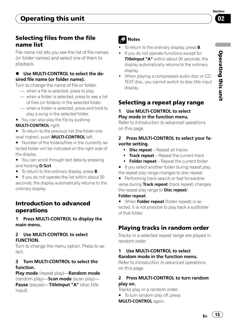## <span id="page-14-0"></span>Selecting files from the file name list

File name list lets you see the list of file names (or folder names) and select one of them to playback.

### Use MULTI-CONTROL to select the desired file name (or folder name).

Turn to change the name of file or folder.

- when a file is selected, press to play.
- when a folder is selected, press to see a list of files (or folders) in the selected folder.
- when a folder is selected, press and hold to play a song in the selected folder.
- You can also play the file by pushing **MULTI-CONTROL** right.
- To return to the previous list (the folder one level higher), push MULTI-CONTROL left.
- Number of the folders/files in the currently selected folder will be indicated on the right side of the display.
- You can scroll through text data by pressing and holding D/Scrl.
- $\blacksquare$  To return to the ordinary display, press **B**.
- If you do not operate the list within about 30 seconds, the display automatically returns to the ordinary display.

## Introduction to advanced operations

1 Press MULTI-CONTROL to display the main menu.

### 2 Use MULTI-CONTROL to select FUNCTION.

Turn to change the menu option. Press to select.

### 3 Turn MULTI-CONTROL to select the function.

Play mode (repeat play)—Random mode (random play)—**Scan mode** (scan play)— Pause (pause)-TitleInput "A" (disc title input)

# Notes

- To return to the ordinary display, press **B**.
- If you do not operate functions except for TitleInput "A" within about 30 seconds, the display automatically returns to the ordinary display.
- When playing a compressed audio disc or CD TEXT disc, you cannot switch to disc title input display.

# Selecting a repeat play range

#### Use MULTI-CONTROL to select Play mode in the function menu.

Refer to Introduction to advanced operations on this page.

#### 2 Press MULTI-CONTROL to select your favorite setting.

- Disc repeat Repeat all tracks
- **Track repeat** Repeat the current track
- Folder repeat Repeat the current folder
- **If you select another folder during repeat play,** the repeat play range changes to disc repeat.
- **Performing track search or fast forward/re**verse during Track repeat (track repeat) changes the repeat play range to **Disc repeat**/

### Folder repeat.

When Folder repeat (folder repeat) is selected, it is not possible to play back a subfolder of that folder.

# Playing tracks in random order

Tracks in a selected repeat range are played in random order.

#### 1 Use MULTI-CONTROL to select Random mode in the function menu.

Refer to Introduction to advanced operations on this page.

### 2 Press MULTI-CONTROL to turn random play on.

Tracks play in a random order.

■ To turn random play off, press

MULTI-CONTROL again.

 $E_n$  (15)

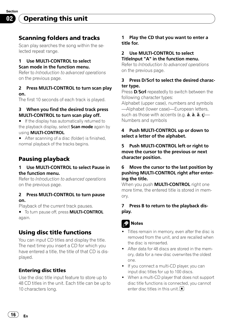<span id="page-15-0"></span>Operating this unit

### Scanning folders and tracks

Scan play searches the song within the selected repeat range.

#### 1 Use MULTI-CONTROL to select Scan mode in the function menu.

Refer to [Introduction to advanced operations](#page-14-0) [on the previous page](#page-14-0).

#### 2 Press MULTI-CONTROL to turn scan play on.

The first 10 seconds of each track is played.

#### 3 When you find the desired track press MULTI-CONTROL to turn scan play off.

■ If the display has automatically returned to the playback display, select **Scan mode** again by using MULTI-CONTROL.

 $\blacksquare$  After scanning of a disc (folder) is finished, normal playback of the tracks begins.

## Pausing playback

#### 1 Use MULTI-CONTROL to select Pause in the function menu.

Refer to [Introduction to advanced operations](#page-14-0) [on the previous page](#page-14-0).

#### 2 Press MULTI-CONTROL to turn pause on.

Playback of the current track pauses.

**To turn pause off, press MULTI-CONTROL** again.

## Using disc title functions

You can input CD titles and display the title. The next time you insert a CD for which you have entered a title, the title of that CD is displayed.

### Entering disc titles

Use the disc title input feature to store up to 48 CD titles in the unit. Each title can be up to 10 characters long.

#### 1 Play the CD that you want to enter a title for.

#### 2 Use MULTI-CONTROL to select TitleInput "A" in the function menu.

Refer to [Introduction to advanced operations](#page-14-0) [on the previous page](#page-14-0).

#### 3 Press D/Scrl to select the desired character type.

Press **D/Scrl** repeatedly to switch between the following character types:

Alphabet (upper case), numbers and symbols —Alphabet (lower case)—European letters, such as those with accents (e.g.  $\acute{a}$ ,  $\grave{a}$ ,  $\ddot{a}$ ,  $\color{red}c$ ) — Numbers and symbols

#### 4 Push MULTI-CONTROL up or down to select a letter of the alphabet.

5 Push MULTI-CONTROL left or right to move the cursor to the previous or next character position.

#### 6 Move the cursor to the last position by pushing MULTI-CONTROL right after entering the title.

When you push **MULTI-CONTROL** right one more time, the entered title is stored in memory.

#### 7 Press B to return to the playback display.

## Notes

- Titles remain in memory, even after the disc is removed from the unit, and are recalled when the disc is reinserted.
- ! After data for 48 discs are stored in the memory, data for a new disc overwrites the oldest one.
- If you connect a multi-CD player, you can input disc titles for up to 100 discs.
- ! When a multi-CD player that does not support disc title functions is connected, you cannot enter disc titles in this unit.

16  $\rangle$   $_{\sf En}$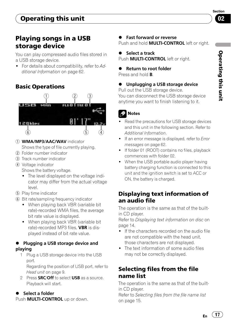# <span id="page-16-0"></span>Playing songs in a USB storage device

You can play compressed audio files stored in a USB storage device.

• For details about compatibility, refer to [Ad](#page-61-0)[ditional Information](#page-61-0) on page 62.

# Basic Operations



- 1 WMA/MP3/AAC/WAV indicator Shows the type of file currently playing.
- 2 Folder number indicator
- 3 Track number indicator
- 4 Voltage indicator Shows the battery voltage.
	- The level displayed on the voltage indicator may differ from the actual voltage level.
- 5 Play time indicator
- 6 Bit rate/sampling frequency indicator
	- When playing back VBR (variable bit rate)-recorded WMA files, the average bit rate value is displayed.
	- When playing back VBR (variable bit rate)-recorded MP3 files. **VBR** is displayed instead of bit rate value.

## **• Plugging a USB storage device and** playing

1 Plug a USB storage device into the USB port.

Regarding the position of USB port, refer to Head unit [on page 9.](#page-8-0)

2 Press **SRC/Off** to select USB as a source. Playback will start.

# % Select a folder

Push **MULTI-CONTROL** up or down.

# Fast forward or reverse

Push and hold **MULTI-CONTROL** left or right.

# % Select a track

Push **MULTI-CONTROL** left or right.

# **Return to root folder**

Press and hold **B**.

#### Unplugging a USB storage device Pull out the USB storage device.

You can disconnect the USB storage device anytime you want to finish listening to it.

# Notes

- Read the precautions for USB storage devices and this unit in the following section. Refer to [Additional Information](#page-61-0).
- If an error message is displayed, refer to [Error](#page-61-0) messages [on page 62](#page-61-0).
- . If folder 01 (ROOT) contains no files, playback commences with folder 02.
- When the USB portable audio player having battery charging function is connected to this unit and the ignition switch is set to ACC or ON, the battery is charged.

# Displaying text information of an audio file

The operation is the same as that of the builtin CD player.

Refer to [Displaying text information on disc](#page-13-0) on [page 14](#page-13-0).

- ! If the characters recorded on the audio file are not compatible with the head unit, those characters are not displayed.
- The text information of some audio files may not be correctly displayed.

# Selecting files from the file name list

The operation is the same as that of the builtin CD player.

Refer to [Selecting files from the file name list](#page-14-0) [on page 15.](#page-14-0)

 $E_n$  (17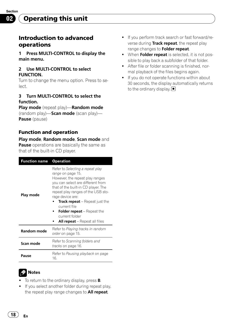<span id="page-17-0"></span>Section 02

## Introduction to advanced operations

1 Press MULTI-CONTROL to display the main menu.

#### 2 Use MULTI-CONTROL to select FUNCTION.

Turn to change the menu option. Press to select.

#### 3 Turn MULTI-CONTROL to select the function.

Play mode (repeat play)—Random mode (random play)-Scan mode (scan play)-Pause (pause)

### Function and operation

#### Play mode, Random mode, Scan mode and

**Pause** operations are basically the same as that of the built-in CD player.

| <b>Function name</b> | <b>Operation</b>                                                                                                                                                                                                                                                                                                                                                                       |  |
|----------------------|----------------------------------------------------------------------------------------------------------------------------------------------------------------------------------------------------------------------------------------------------------------------------------------------------------------------------------------------------------------------------------------|--|
| Play mode            | Refer to Selecting a repeat play<br>range on page 15.<br>However, the repeat play ranges<br>you can select are different from<br>that of the built-in CD player. The<br>repeat play ranges of the USB sto-<br>rage device are:<br><b>Track repeat</b> – Repeat just the<br>current file<br><b>Folder repeat</b> – Repeat the<br>current folder<br><b>All repeat</b> – Repeat all files |  |
| <b>Random mode</b>   | Refer to Playing tracks in random<br>order on page 15.                                                                                                                                                                                                                                                                                                                                 |  |
| Scan mode            | Refer to Scanning folders and<br><i>tracks</i> on page 16.                                                                                                                                                                                                                                                                                                                             |  |
| Pause                | Refer to <i>Pausing playback</i> on page<br>16.                                                                                                                                                                                                                                                                                                                                        |  |

# Notes

- $\bullet$  To return to the ordinary display, press **B**.
- ! If you select another folder during repeat play, the repeat play range changes to **All repeat**.
- ! If you perform track search or fast forward/reverse during Track repeat, the repeat play range changes to Folder repeat.
- When Folder repeat is selected, it is not possible to play back a subfolder of that folder.
- After file or folder scanning is finished, normal playback of the files begins again.
- ! If you do not operate functions within about 30 seconds, the display automatically returns to the ordinary display.  $\blacksquare$

18) <sub>En</sub>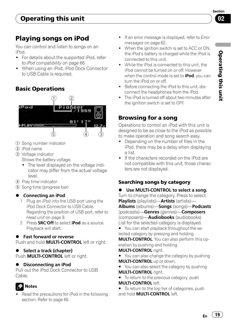Section 02

# <span id="page-18-0"></span>Playing songs on iPod

You can control and listen to songs on an iPod.

- For details about the supported iPod, refer to [iPod compatibility](#page-65-0) on page 66.
- ! When using an iPod, iPod Dock Connector to USB Cable is required.

# Basic Operations



- 1 Song number indicator
- 2 iPod name
- 3 Voltage indicator Shows the battery voltage.
	- The level displayed on the voltage indicator may differ from the actual voltage level.
- 4 Play time indicator
- 5 Song time (progress bar)

## **•** Connecting an iPod

- 1 Plug an iPod into the USB port using the iPod Dock Connector to USB Cable. Regarding the position of USB port, refer to Head unit [on page 9.](#page-8-0)
- 2 Press **SRC/Off** to select **iPod** as a source. Playback will start.

## **•** Fast forward or reverse

Push and hold **MULTI-CONTROL** left or right.

## ● Select a track (chapter)

Push **MULTI-CONTROL** left or right.

### **Disconnecting an iPod**

Pull out the iPod Dock Connector to USB Cable.

# Notes

• Read the precautions for iPod in the following section. Refer to [page 66](#page-65-0).

- If an error message is displayed, refer to *[Error](#page-61-0)* messages [on page 62](#page-61-0).
- When the ignition switch is set to ACC or ON, the iPod's battery is charged while the iPod is connected to this unit.
- ! While the iPod is connected to this unit, the iPod cannot be turned on or off. However when the control mode is set to **iPod**, you can turn the iPod on or off.
- Before connecting the iPod to this unit, disconnect the headphones from the iPod.
- The iPod is turned off about two minutes after the ignition switch is set to OFE.

# Browsing for a song

Operations to control an iPod with this unit is designed to be as close to the iPod as possible to make operation and song search easy.

- Depending on the number of files in the iPod, there may be a delay when displaying a list.
- ! If the characters recorded on the iPod are not compatible with this unit, those characters are not displayed.

## Searching songs by category

Use MULTI-CONTROL to select a song. Turn to change the category. Press to select. Playlists (playlists)—Artists (artists)— Albums (albums)—Songs (songs)—Podcasts (podcasts)—Genres (genres)—Composers

(composers)—**Audiobooks** (audiobooks) List for the selected category is displayed.

■ You can start playback throughout the selected category by pressing and holding **MULTI-CONTROL**. You can also perform this operation by pushing and holding

## **MULTI-CONTROL right.**

- You can also change the category by pushing **MULTI-CONTROL** up or down.
- You can also select the category by pushing MULTI-CONTROL right.
- To return to the previous category, push MULTI-CONTROL left.
- To return to the top tier of categories, push and hold **MULTI-CONTROL** left.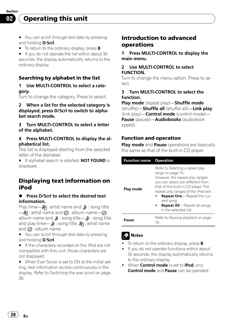<span id="page-19-0"></span>Operating this unit

- You can scroll through text data by pressing and holding **D/Scrl**.
- $\blacksquare$  To return to the ordinary display, press **B**.

■ If you do not operate the list within about 30 seconds, the display automatically returns to the ordinary display.

#### Searching by alphabet in the list

#### 1 Use MULTI-CONTROL to select a category.

Turn to change the category. Press to select.

#### 2 When a list for the selected category is displayed, press D/Scrl to switch to alphabet search mode.

3 Turn MULTI-CONTROL to select a letter of the alphabet.

#### 4 Press MULTI-CONTROL to display the alphabetical list.

The list is displayed starting from the selected letter of the alphabet.

**If alphabet search is aborted, NOT FOUND is** displayed.

## Displaying text information on iPod

#### **• Press D/Scrl to select the desired text** information.

Play time— $\mathbb{R}$ : artist name and  $\mathbb{R}$ : song title  $\longrightarrow$ A: artist name and  $\oslash$  : album name— $\oslash$  : album name and  $\mathbf{D}$  : song title— $\mathbf{D}$  : song title and play time— $\mathbf{D}$  : song title,  $\mathbf{D}$  : artist name and  $\oslash$ : album name

■ You can scroll through text data by pressing and holding **D/Scrl**.

**If the characters recorded on the iPod are not** compatible with this unit, those characters are not displayed.

■ When Ever Scroll is set to ON at the initial setting, text information scrolls continuously in the display. Refer to [Switching the ever scroll](#page-38-0) on page [39.](#page-38-0)

## Introduction to advanced operations

1 Press MULTI-CONTROL to display the main menu.

#### 2 Use MULTI-CONTROL to select FUNCTION.

Turn to change the menu option. Press to select.

#### 3 Turn MULTI-CONTROL to select the function.

Play mode (repeat play)—Shuffle mode (shuffle)—Shuffle all (shuffle all)—Link play (link play)—**Control mode** (control mode)-Pause (pause)—Audiobooks (audiobook speed)

### Function and operation

**Play mode** and **Pause** operations are basically the same as that of the built-in CD player.

| <b>Function name</b> | <b>Operation</b>                                                                                                                                                                                                                                                                                                                |  |
|----------------------|---------------------------------------------------------------------------------------------------------------------------------------------------------------------------------------------------------------------------------------------------------------------------------------------------------------------------------|--|
| Play mode            | Refer to Selecting a repeat play<br>range on page 15.<br>However, the repeat play ranges<br>you can select are different from<br>that of the built-in CD player. The<br>repeat play ranges of the iPod are:<br><b>Repeat One</b> - Repeat the cur-<br>rent song<br><b>Repeat All</b> - Repeat all songs<br>in the selected list |  |
| Pause                | Refer to Pausing playback on page<br>16.                                                                                                                                                                                                                                                                                        |  |

## Notes

- To return to the ordinary display, press **B**.
- If you do not operate functions within about 30 seconds, the display automatically returns to the ordinary display.
- When Control mode is set to iPod, only Control mode and Pause can be operated.

20) <sub>En</sub>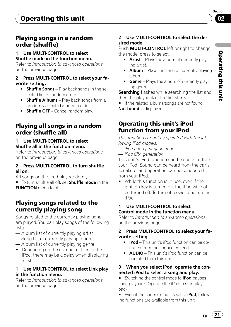## <span id="page-20-0"></span>Playing songs in a random order (shuffle)

### 1 Use MULTI-CONTROL to select Shuffle mode in the function menu.

Refer to [Introduction to advanced operations](#page-19-0) [on the previous page.](#page-19-0)

### 2 Press MULTI-CONTROL to select your favorite setting.

- **Shuffle Songs** Play back songs in the selected list in random order.
- **Shuffle Albums** Play back songs from a randomly selected album in order.
- Shuffle OFF Cancel random play.

## Playing all songs in a random order (shuffle all)

### 1 Use MULTI-CONTROL to select Shuffle all in the function menu.

Refer to [Introduction to advanced operations](#page-19-0) [on the previous page.](#page-19-0)

### 2 Press MULTI-CONTROL to turn shuffle all on.

All songs on the iPod play randomly.

■ To turn shuffle all off, set **Shuffle mode** in the FUNCTION menu to off.

# Playing songs related to the currently playing song

Songs related to the currently playing song are played. You can play songs of the following lists.

- Album list of currently playing artist
- Song list of currently playing album
- Album list of currently playing genre
- Depending on the number of files in the iPod, there may be a delay when displaying a list.

## 1 Use MULTI-CONTROL to select Link play in the function menu.

Refer to [Introduction to advanced operations](#page-19-0) [on the previous page.](#page-19-0)

## 2 Use MULTI-CONTROL to select the desired mode.

Push **MULTI-CONTROL** left or right to change the mode; press to select.

- Artist Plays the album of currently playing artist.
- $\bullet$  **Album** Plays the song of currently playing album.
- Genre Plays the album of currently playing genre.

**Searching** flashes while searching the list and then the playback of the list starts.

■ If the related albums/songs are not found, Not found is displayed.

## Operating this unit's iPod function from your iPod

This function cannot be operated with the following iPod models.

- iPod nano first generation
- iPod fifth generation

This unit's iPod function can be operated from your iPod. Sound can be heard from the car's speakers, and operation can be conducted from your iPod.

• While this function is in use, even if the ignition key is turned off, the iPod will not be turned off. To turn off power, operate the iPod.

### 1 Use MULTI-CONTROL to select Control mode in the function menu.

Refer to [Introduction to advanced operations](#page-19-0) [on the previous page.](#page-19-0)

### 2 Press MULTI-CONTROL to select your favorite setting.

- $\cdot$  iPod This unit's iPod function can be operated from the connected iPod.
- **AUDIO** This unit's iPod function can be operated from this unit.

#### 3 When you select iPod, operate the connected iPod to select a song and play.

Switching the control mode to **iPod** pauses song playback. Operate the iPod to start playback.

Even if the control mode is set to **iPod**, following functions are available from this unit.

 $E_n$  (21)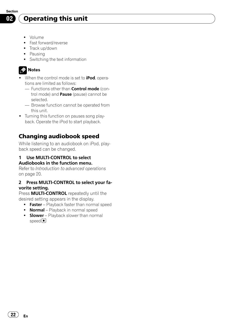# <span id="page-21-0"></span>Operating this unit

- · Volume
- Fast forward/reverse
- Track up/down
- Pausing
- Switching the text information

# **2** Notes

- . When the control mode is set to iPod, operations are limited as follows:
	- Functions other than **Control mode** (control mode) and Pause (pause) cannot be selected.
	- Browse function cannot be operated from this unit.
- Turning this function on pauses song playback. Operate the iPod to start playback.

## Changing audiobook speed

While listening to an audiobook on iPod, playback speed can be changed.

#### 1 Use MULTI-CONTROL to select Audiobooks in the function menu.

Refer to [Introduction to advanced operations](#page-19-0) [on page 20](#page-19-0).

#### 2 Press MULTI-CONTROL to select your favorite setting.

Press **MULTI-CONTROL** repeatedly until the desired setting appears in the display.

- Faster Playback faster than normal speed
- Normal Playback in normal speed
- Slower Playback slower than normal speed<sup></sup>

22) <sub>En</sub>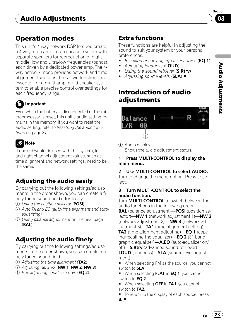# <span id="page-22-0"></span>Audio Adjustments

# Operation modes

This unit's 4-way network DSP lets you create a 4-way multi-amp, multi-speaker system with separate speakers for reproduction of high, middle, low and ultra-low frequencies (bands). each driven by a dedicated power amp. The 4 way network mode provides network and time alignment functions. These two functions are essential for a multi-amp, multi-speaker system to enable precise control over settings for each frequency range.

# Important

Even when the battery is disconnected or the microprocessor is reset, this unit's audio setting remains in the memory. If you want to reset the audio setting, refer to [Resetting the audio func](#page-36-0)tions [on page 37.](#page-36-0)

# Note

If one subwoofer is used with this system, left and right channel adjustment values, such as time alignment and network settings, need to be the same.

# Adjusting the audio easily

By carrying out the following settings/adjustments in the order shown, you can create a finely-tuned sound field effortlessly.

- 1 [Using the position selector](#page-23-0) (POSI)
- 2 [Auto TA and EQ \(auto-time alignment and auto](#page-29-0)[equalizing\)](#page-29-0)
- 3 [Using balance adjustment](#page-23-0) on the next page (BAL)

# Adjusting the audio finely

By carrying out the following settings/adjustments in the order shown, you can create a finely-tuned sound field.

- $(1)$  [Adjusting the time alignment](#page-27-0) (TA2)
- 2 [Adjusting network](#page-25-0) (NW 1, NW 2, NW 3)
- 3) [Fine-adjusting equalizer curve](#page-28-0) (EQ 2)

# Extra functions

These functions are helpful in adjusting the sound to suit your system or your personal preferences.

- [Recalling or copying equalizer curves](#page-27-0) (EQ 1)
- [Adjusting loudness](#page-29-0) (LOUD)
- [Using the sound retriever](#page-29-0) (**S.Rtrv**)
	- [Adjusting source levels](#page-29-0)  $(SLA)$

# Introduction of audio adjustments



1 Audio display Shows the audio adjustment status.

#### Press MULTI-CONTROL to display the main menu.

## 2 Use MULTI-CONTROL to select AUDIO.

Turn to change the menu option. Press to select.

#### 3 Turn MULTI-CONTROL to select the audio function.

Turn MULTI-CONTROL to switch between the audio functions in the following order. **BAL** (balance adjustment)—**POSI** (position selector)—NW 1 (network adjustment 1)—NW 2 (network adjustment 2)-NW 3 (network adjustment  $3$ —**TA1** (time alignment setting)— **TA2** (time alignment adjusting)—**EQ 1** (copying/recalling the equalizer)— $EQ$  2 (31-band graphic equalizer)—**A.EQ** (auto-equalizer on/ off)-S.Rtrv (advanced sound retriever)-LOUD (loudness)—SLA (source level adjustment)

■ When selecting FM as the source, you cannot switch to SLA.

- When selecting **FLAT** in **EQ 1**, you cannot switch to EQ 2.
- When selecting OFF in TA1, you cannot switch to TA2.
- To return to the display of each source, press
- $B.$   $\left[ \bullet \right]$

 $E_n$  (23)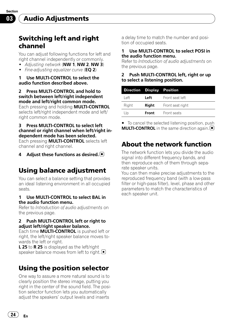<span id="page-23-0"></span>Section 03

# Switching left and right channel

You can adjust following functions for left and right channel independently or commonly.

- $\bullet$  [Adjusting network](#page-25-0) (NW 1, NW 2, NW 3)
- [Fine-adjusting equalizer curve](#page-28-0)  $(EQ 2)$

1 Use MULTI-CONTROL to select the audio function described above.

right common mode.

2 Press MULTI-CONTROL and hold to switch between left/right independent mode and left/right common mode. Each pressing and holding MULTI-CONTROL selects left/right independent mode and left/

## 3 Press MULTI-CONTROL to select left channel or right channel when left/right independent mode has been selected.

Each pressing **MULTI-CONTROL** selects left channel and right channel.

#### 4 Adjust these functions as desired.

# Using balance adjustment

You can select a balance setting that provides an ideal listening environment in all occupied seats.

#### 1 Use MULTI-CONTROL to select BAL in the audio function menu.

Refer to [Introduction of audio adjustments](#page-22-0) on [the previous page.](#page-22-0)

#### 2 Push MULTI-CONTROL left or right to adjust left/right speaker balance.

Each time MULTI-CONTROL is pushed left or right, the left/right speaker balance moves towards the left or right.

**L 25** to **R 25** is displayed as the left/right speaker balance moves from left to right.

# Using the position selector

One way to assure a more natural sound is to clearly position the stereo image, putting you right in the center of the sound field. The position selector function lets you automatically adjust the speakers' output levels and inserts

a delay time to match the number and position of occupied seats.

#### Use MULTI-CONTROL to select POSI in the audio function menu.

Refer to [Introduction of audio adjustments](#page-22-0) on [the previous page.](#page-22-0)

#### 2 Push MULTI-CONTROL left, right or up to select a listening position.

| <b>Direction Display Position</b> |       |                  |
|-----------------------------------|-------|------------------|
| l eft                             | Left  | Front seat left  |
| Right                             | Right | Front seat right |
| Up                                | Front | Front seats      |

 $\blacksquare$  To cancel the selected listening position, push **MULTI-CONTROL** in the same direction again.

# About the network function

The network function lets you divide the audio signal into different frequency bands, and then reproduce each of them through separate speaker units.

You can then make precise adjustments to the reproduced frequency band (with a low-pass filter or high-pass filter), level, phase and other parameters to match the characteristics of each speaker unit.

24  $)$   $_{\sf En}$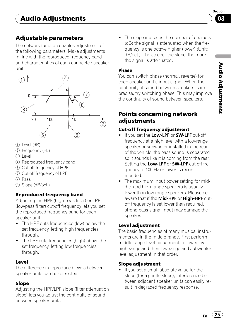Audio Adjustments Adjustments

# <span id="page-24-0"></span>Adjustable parameters

The network function enables adjustment of the following parameters. Make adjustments in line with the reproduced frequency band and characteristics of each connected speaker unit.



- $(1)$  Level  $(dB)$
- 2 Frequency (Hz)
- $(3)$  Level
- 4 Reproduced frequency band
- 5 Cut-off frequency of HPF
- 6 Cut-off frequency of LPF
- 7 Pass
- 8 Slope (dB/oct.)

## Reproduced frequency band

Adjusting the HPF (high-pass filter) or LPF (low-pass filter) cut-off frequency lets you set the reproduced frequency band for each speaker unit.

- The HPF cuts frequencies (low) below the set frequency, letting high frequencies through.
- The LPF cuts frequencies (high) above the set frequency, letting low frequencies through.

## Level

The difference in reproduced levels between speaker units can be corrected.

## Slope

Adjusting the HPF/LPF slope (filter attenuation slope) lets you adjust the continuity of sound between speaker units.

• The slope indicates the number of decibels (dB) the signal is attenuated when the frequency is one octave higher (lower) (Unit: dB/oct.). The steeper the slope, the more the signal is attenuated.

### Phase

You can switch phase (normal, reverse) for each speaker unit's input signal. When the continuity of sound between speakers is imprecise, try switching phase. This may improve the continuity of sound between speakers.

## Points concerning network adjustments

### Cut-off frequency adjustment

- . If you set the Low-LPF or SW-LPF cut-off frequency at a high level with a low-range speaker or subwoofer installed in the rear of the vehicle, the bass sound is separated so it sounds like it is coming from the rear. Setting the Low-LPF or SW-LPF cut-off frequency to 100 Hz or lower is recommended.
- The maximum input power setting for middle- and high-range speakers is usually lower than low-range speakers. Please be aware that if the Mid-HPF or High-HPF cutoff frequency is set lower than required, strong bass signal input may damage the speaker.

## Level adjustment

The basic frequencies of many musical instruments are in the middle range. First perform middle-range level adjustment, followed by high-range and then low-range and subwoofer level adjustment in that order.

## Slope adjustment

! If you set a small absolute value for the slope (for a gentle slope), interference between adjacent speaker units can easily result in degraded frequency response.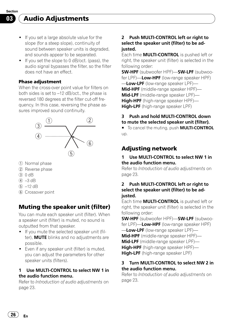<span id="page-25-0"></span>Audio Adjustments

- ! If you set a large absolute value for the slope (for a steep slope), continuity of sound between speaker units is degraded, and sounds appear to be separated.
- ! If you set the slope to 0 dB/oct. (pass), the audio signal bypasses the filter, so the filter does not have an effect.

#### Phase adjustment

When the cross-over point value for filters on both sides is set to –12 dB/oct., the phase is reversed 180 degrees at the filter cut-off frequency. In this case, reversing the phase assures improved sound continuity.



- 1 Normal phase
- 2 Reverse phase
- 3 0 dB
- $(4) -3$  dB
- $(5) -12$  dB
- 6 Crossover point

## Muting the speaker unit (filter)

You can mute each speaker unit (filter). When a speaker unit (filter) is muted, no sound is outputted from that speaker.

- . If you mute the selected speaker unit (filter). **MUTE** blinks and no adjustments are possible.
- ! Even if any speaker unit (filter) is muted, you can adjust the parameters for other speaker units (filters).

#### 1 Use MULTI-CONTROL to select NW 1 in the audio function menu.

Refer to [Introduction of audio adjustments](#page-22-0) on [page 23.](#page-22-0)

#### 2 Push MULTI-CONTROL left or right to select the speaker unit (filter) to be adjusted.

Each time **MULTI-CONTROL** is pushed left or right, the speaker unit (filter) is selected in the following order:

SW-HPF (subwoofer HPF)—SW-LPF (subwoofer LPF)—**Low-HPF** (low-range speaker HPF) -**Low-LPF** (low-range speaker LPF)-Mid-HPF (middle-range speaker HPF)-Mid-LPF (middle-range speaker LPF)-High-HPF (high-range speaker HPF)-High-LPF (high-range speaker LPF)

#### 3 Push and hold MULTI-CONTROL down to mute the selected speaker unit (filter).

■ To cancel the muting, push **MULTI-CONTROL** up.

## Adjusting network

#### 1 Use MULTI-CONTROL to select NW 1 in the audio function menu.

Refer to [Introduction of audio adjustments](#page-22-0) on [page 23.](#page-22-0)

#### 2 Push MULTI-CONTROL left or right to select the speaker unit (filter) to be adjusted.

Each time **MULTI-CONTROL** is pushed left or right, the speaker unit (filter) is selected in the following order:

SW-HPF (subwoofer HPF)—SW-LPF (subwoofer LPF)—Low-HPF (low-range speaker HPF) -Low-LPF (low-range speaker LPF)-Mid-HPF (middle-range speaker HPF)-Mid-LPF (middle-range speaker LPF)-High-HPF (high-range speaker HPF)-

High-LPF (high-range speaker LPF)

#### 3 Turn MULTI-CONTROL to select NW 2 in the audio function menu.

Refer to [Introduction of audio adjustments](#page-22-0) on [page 23.](#page-22-0)

26  $\rangle$  En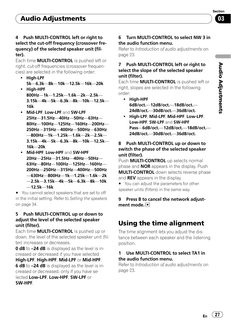#### <span id="page-26-0"></span>4 Push MULTI-CONTROL left or right to select the cut-off frequency (crossover frequency) of the selected speaker unit (filter).

Each time MULTI-CONTROL is pushed left or right, cut-off frequencies (crossover frequencies) are selected in the following order:

- High-LPF 5k—6.3k—8k—10k—12.5k—16k—20k
- High-HPF 800Hz—1k—1.25k—1.6k—2k—2.5k— 3.15k—4k—5k—6.3k—8k—10k—12.5k— 16k
- Mid-LPF, Low-LPF and SW-LPF 25Hz—31.5Hz—40Hz—50Hz—63Hz— 80Hz—100Hz—125Hz—160Hz—200Hz— 250Hz—315Hz—400Hz—500Hz—630Hz —800Hz—1k—1.25k—1.6k—2k—2.5k— 3.15k—4k—5k—6.3k—8k—10k—12.5k— 16k—20k
- Mid-HPF, Low-HPF and SW-HPF 20Hz—25Hz—31.5Hz—40Hz—50Hz— 63Hz—80Hz—100Hz—125Hz—160Hz— 200Hz—250Hz—315Hz—400Hz—500Hz —630Hz—800Hz—1k—1.25k—1.6k—2k —2.5k—3.15k—4k—5k—6.3k—8k—10k —12.5k—16k

■ You cannot select speakers that are set to off in the initial setting. Refer to [Setting the speakers](#page-33-0) [on page 34](#page-33-0).

#### 5 Push MULTI-CONTROL up or down to adjust the level of the selected speaker unit (filter).

Each time MULTI-CONTROL is pushed up or down, the level of the selected speaker unit (filter) increases or decreases.

0 dB to -24 dB is displayed as the level is increased or decreased if you have selected High-LPF, High-HPF, Mid-LPF or Mid-HPF.

6 dB to -24 dB is displayed as the level is increased or decreased, only if you have selected Low-LPF, Low-HPF, SW-LPF or SW-HPF.

### 6 Turn MULTI-CONTROL to select NW 3 in the audio function menu.

Refer to [Introduction of audio adjustments](#page-22-0) on [page 23](#page-22-0).

### 7 Push MULTI-CONTROL left or right to select the slope of the selected speaker unit (filter).

Each time **MULTI-CONTROL** is pushed left or right, slopes are selected in the following order:

- High-HPF 6dB/oct.—12dB/oct.—18dB/oct.— 24dB/oct.—30dB/oct.—36dB/oct.
- ! High-LPF, Mid-LPF, Mid-HPF, Low-LPF, Low-HPF, SW-LPF and SW-HPF Pass—6dB/oct.—12dB/oct.—18dB/oct. 24dB/oct.—30dB/oct.—36dB/oct.

### 8 Push MULTI-CONTROL up or down to switch the phase of the selected speaker unit (filter).

Push **MULTI-CONTROL** up selects normal phase and **NOR** appears in the display. Push **MULTI-CONTROL** down selects reverse phase and REV appears in the display.

■ You can adjust the parameters for other speaker units (filters) in the same way.

### 9 Press B to cancel the network adjustment mode.

# Using the time alignment

The time alignment lets you adjust the distance between each speaker and the listening position.

### 1 Use MULTI-CONTROL to select TA1 in the audio function menu.

Refer to [Introduction of audio adjustments](#page-22-0) on [page 23](#page-22-0).

En  $(27)$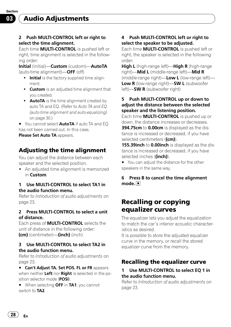<span id="page-27-0"></span>Section 03

### 2 Push MULTI-CONTROL left or right to select the time alignment.

Each time MULTI-CONTROL is pushed left or right, time alignment is selected in the following order:

Initial (initial)—Custom (custom)—AutoTA (auto-time alignment)—OFF (off)

- . Initial is the factory supplied time alignment.
- **Custom** is an adjusted time alignment that you created.
- AutoTA is the time alignment created by auto TA and EQ. (Refer to [Auto TA and EQ](#page-29-0) [\(auto-time alignment and auto-equalizing\)](#page-29-0) [on page 30](#page-29-0).)

You cannot select **AutoTA** if auto TA and FO has not been carried out. In this case,

Please Set Auto TA appears.

## Adjusting the time alignment

You can adjust the distance between each speaker and the selected position.

• An adjusted time alignment is memorized in Custom.

#### 1 Use MULTI-CONTROL to select TA1 in the audio function menu.

Refer to [Introduction of audio adjustments](#page-22-0) on [page 23.](#page-22-0)

#### 2 Press MULTI-CONTROL to select a unit of distance.

Each press of MULTI-CONTROL selects the unit of distance in the following order: (cm) (centimeter)—(inch) (inch)

#### 3 Use MULTI-CONTROL to select TA2 in the audio function menu.

Refer to [Introduction of audio adjustments](#page-22-0) on [page 23.](#page-22-0)

**E** Can't Adjust TA. Set POS. FL or FR appears when neither Left nor Right is selected in the position selector mode (POSI).

■ When selecting OFF in TA1, you cannot switch to TA2.

### 4 Push MULTI-CONTROL left or right to select the speaker to be adjusted.

Each time **MULTI-CONTROL** is pushed left or right, the speaker is selected in the following order:

High L (high-range left)—High R (high-range right)—Mid L (middle-range left)—Mid R (middle-range right)— $Low L$  (low-range left)— Low R (low-range right)-SW L (subwoofer left)—**SW R** (subwoofer right)

#### 5 Push MULTI-CONTROL up or down to adjust the distance between the selected speaker and the listening position.

Each time **MULTI-CONTROL** is pushed up or down, the distance increases or decreases. 394.75cm to 0.00cm is displayed as the distance is increased or decreased, if you have selected centimeters ((cm)).

155.39inch to 0.00inch is displayed as the distance is increased or decreased, if you have selected inches ((inch)).

■ You can adjust the distance for the other speakers in the same way.

### 6 Press B to cancel the time alignment mode.<sup>[1]</sup>

# Recalling or copying equalizer curves

The equalizer lets you adjust the equalization to match the car's interior acoustic characteristics as desired.

It is possible to store the adjusted equalizer curve in the memory, or recall the stored equalizer curve from the memory.

## Recalling the equalizer curve

#### Use MULTI-CONTROL to select EQ 1 in the audio function menu.

Refer to [Introduction of audio adjustments](#page-22-0) on [page 23.](#page-22-0)

28) <sub>En</sub>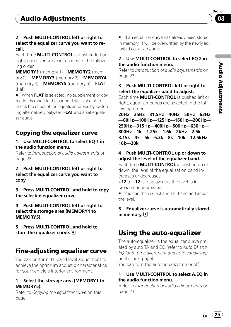### <span id="page-28-0"></span>2 Push MULTI-CONTROL left or right to select the equalizer curve you want to recall.

Each time MULTI-CONTROL is pushed left or right, equalizer curve is recalled in the following order.

MEMORY1 (memory 1)—MEMORY2 (memory 2)-MEMORY3 (memory 3)-MEMORY4 (memory 4)—MEMORY5 (memory 5)—FLAT (flat)

■ When FLAT is selected, no supplement or correction is made to the sound. This is useful to check the effect of the equalizer curves by switching alternatively between **FLAT** and a set equalizer curve.

# Copying the equalizer curve

#### 1 Use MULTI-CONTROL to select EQ 1 in the audio function menu.

Refer to [Introduction of audio adjustments](#page-22-0) on [page 23.](#page-22-0)

#### 2 Push MULTI-CONTROL left or right to select the equalizer curve you want to copy.

3 Press MULTI-CONTROL and hold to copy the selected equalizer curve.

4 Push MULTI-CONTROL left or right to select the storage area (MEMORY1 to MEMORY5).

5 Press MULTI-CONTROL and hold to store the equalizer curve.

# Fine-adjusting equalizer curve

You can perform 31–band level adjustment to achieve the optimum acoustic characteristics for your vehicle's interior environment.

#### 1 Select the storage area (MEMORY1 to MEMORY5).

Refer to Copying the equalizer curve on this page.

**If an equalizer curve has already been stored** in memory, it will be overwritten by the newly adjusted equalizer curve.

#### 2 Use MULTI-CONTROL to select EQ 2 in the audio function menu.

Refer to [Introduction of audio adjustments](#page-22-0) on [page 23](#page-22-0).

### 3 Push MULTI-CONTROL left or right to select the equalizer band to adjust.

Fach time **MULTI-CONTROL** is pushed left or right, equalizer bands are selected in the following order.

20Hz—25Hz—31.5Hz—40Hz—50Hz—63Hz —80Hz—100Hz—125Hz—160Hz—200Hz— 250Hz—315Hz—400Hz—500Hz—630Hz— 800Hz—1k—1.25k—1.6k—2kHz—2.5k— 3.15k—4k—5k—6.3k—8k—10k—12.5kHz— 16k—20k

## 4 Push MULTI-CONTROL up or down to adiust the level of the equalizer band.

Each time MULTI-CONTROL is pushed up or down, the level of the equalization band increases or decreases.

+12 to -12 is displayed as the level is increased or decreased.

■ You can then select another band and adjust the level.

### 5 Equalizer curve is automatically stored in memory.  $\color{red}\blacksquare$

# Using the auto-equalizer

The auto-equalizer is the equalizer curve created by auto TA and EQ (refer to [Auto TA and](#page-29-0) [EQ \(auto-time alignment and auto-equalizing\)](#page-29-0) [on the next page](#page-29-0)).

You can turn the auto-equalizer on or off.

### 1 Use MULTI-CONTROL to select A.EQ in the audio function menu.

Refer to [Introduction of audio adjustments](#page-22-0) on [page 23](#page-22-0).

Audio Adjustments Adjustments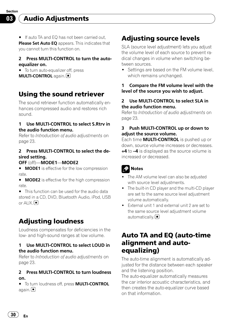<span id="page-29-0"></span>Audio Adjustments

■ If auto TA and EQ has not been carried out, Please Set Auto EO appears. This indicates that you cannot turn this function on.

#### 2 Press MULTI-CONTROL to turn the autoequalizer on.

■ To turn auto-equalizer off, press **MULTI-CONTROL** again.

# Using the sound retriever

The sound retriever function automatically enhances compressed audio and restores rich sound.

#### 1 Use MULTI-CONTROL to select S.Rtrv in the audio function menu.

Refer to [Introduction of audio adjustments](#page-22-0) on [page 23.](#page-22-0)

### 2 Press MULTI-CONTROL to select the desired setting.

#### OFF (off)—MODE1—MODE2

**MODE1** is effective for the low compression rate.

**MODE2** is effective for the high compression rate.

■ This function can be used for the audio data stored in a CD, DVD, Bluetooth Audio, iPod, USB or AUX. $\Box$ 

# Adjusting loudness

Loudness compensates for deficiencies in the low- and high-sound ranges at low volume.

#### 1 Use MULTI-CONTROL to select LOUD in the audio function menu.

Refer to [Introduction of audio adjustments](#page-22-0) on [page 23.](#page-22-0)

#### 2 Press MULTI-CONTROL to turn loudness on.

 $\blacksquare$  To turn loudness off, press **MULTI-CONTROL** again. $\Box$ 

# Adjusting source levels

SLA (source level adjustment) lets you adjust the volume level of each source to prevent radical changes in volume when switching between sources.

• Settings are based on the FM volume level, which remains unchanged.

#### 1 Compare the FM volume level with the level of the source you wish to adjust.

#### 2 Use MULTI-CONTROL to select SLA in the audio function menu.

Refer to [Introduction of audio adjustments](#page-22-0) on [page 23.](#page-22-0)

### 3 Push MULTI-CONTROL up or down to adiust the source volume.

Each time **MULTI-CONTROL** is pushed up or down, source volume increases or decreases. +4 to –4 is displayed as the source volume is increased or decreased.

# Notes

- The AM volume level can also be adjusted with source level adjustments.
- The built-in CD player and the multi-CD player are set to the same source level adjustment volume automatically.
- ! External unit 1 and external unit 2 are set to the same source level adjustment volume automatically. $\boxed{\blacksquare}$

# Auto TA and EQ (auto-time alignment and autoequalizing)

The auto-time alignment is automatically adjusted for the distance between each speaker and the listening position.

The auto-equalizer automatically measures the car interior acoustic characteristics, and then creates the auto-equalizer curve based on that information.

30) <sub>En</sub>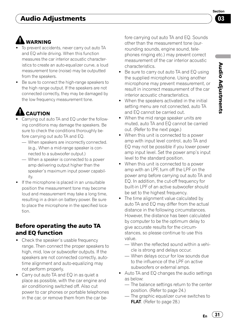# <span id="page-30-0"></span>Audio Adjustments

# WARNING

- To prevent accidents, never carry out auto TA and EQ while driving. When this function measures the car interior acoustic characteristics to create an auto-equalizer curve, a loud measurement tone (noise) may be outputted from the speakers.
- ! Be sure to connect the high-range speakers to the high range output. If the speakers are not connected correctly, they may be damaged by the low frequency measurement tone.

# **LA** CAUTION

- Carrying out auto TA and FQ under the following conditions may damage the speakers. Be sure to check the conditions thoroughly before carrying out auto TA and EQ.
	- When speakers are incorrectly connected. (e.g., When a mid-range speaker is connected to a subwoofer output.)
	- When a speaker is connected to a power amp delivering output higher than the speaker's maximum input power capability.
- If the microphone is placed in an unsuitable position the measurement tone may become loud and measurement may take a long time, resulting in a drain on battery power. Be sure to place the microphone in the specified location.

## Before operating the auto TA and EQ function

- Check the speaker's usable frequency range. Then connect the proper speakers to high, mid, low or subwoofer outputs. If the speakers are not connected correctly, autotime alignment and auto-equalizing may not perform properly.
- Carry out auto TA and EQ in as quiet a place as possible, with the car engine and air conditioning switched off. Also cut power to car phones or portable telephones in the car, or remove them from the car be-

fore carrying out auto TA and EQ. Sounds other than the measurement tone (surrounding sounds, engine sound, telephones ringing etc.) may prevent correct measurement of the car interior acoustic characteristics.

- Be sure to carry out auto TA and EQ using the supplied microphone. Using another microphone may prevent measurement, or result in incorrect measurement of the car interior acoustic characteristics.
- When the speakers activated in the initial setting menu are not connected, auto TA and EQ cannot be carried out.
- When the mid range speaker units are muted, auto TA and EQ cannot be carried out. (Refer to [the next page](#page-31-0).)
- When this unit is connected to a power amp with input level control, auto TA and EQ may not be possible if you lower power amp input level. Set the power amp's input level to the standard position.
- When this unit is connected to a power amp with an LPF, turn off the LPF on the power amp before carrying out auto TA and EQ. In addition, the cut-off frequency for built-in LPF of an active subwoofer should be set to the highest frequency.
- The time alignment value calculated by auto TA and EQ may differ from the actual distance in the following circumstances. However, the distance has been calculated by computer to be the optimum delay to give accurate results for the circumstances, so please continue to use this value.
	- When the reflected sound within a vehicle is strong and delays occur.
	- When delays occur for low sounds due to the influence of the LPF on active subwoofers or external amps.
- Auto TA and EQ changes the audio settings as below:
	- The balance settings return to the center position. (Refer to [page 24](#page-23-0).)
	- The graphic equalizer curve switches to FLAT. (Refer to [page 28](#page-27-0).)

Section 03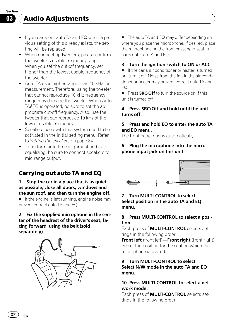- <span id="page-31-0"></span>• If you carry out auto TA and EQ when a previous setting of this already exists, the setting will be replaced.
- ! When connecting tweeters, please confirm the tweeter's usable frequency range. When you set the cut-off frequency, set higher than the lowest usable frequency of the tweeter.
- Auto TA uses higher range than 10 kHz for measurement. Therefore, using the tweeter that cannot reproduce 10 kHz frequency range may damage the tweeter. When Auto TA&EQ is operated, be sure to set the appropriate cut-off frequency. Also, use the tweeter that can reproduce 10 kHz at the lowest usable frequency.
- Speakers used with this system need to be activated in the initial setting menu. Refer to [Setting the speakers](#page-33-0) on page 34.
- ! To perform auto-time alignment and autoequalizing, be sure to connect speakers to mid range output.

## Carrying out auto TA and EQ

#### 1 Stop the car in a place that is as quiet as possible, close all doors, windows and the sun roof, and then turn the engine off.

 $\blacksquare$  If the engine is left running, engine noise may prevent correct auto TA and EQ.

#### 2 Fix the supplied microphone in the center of the headrest of the driver's seat, facing forward, using the belt (sold separately).



**The auto TA and EQ may differ depending on** where you place the microphone. If desired, place the microphone on the front passenger seat to carry out auto TA and EQ.

#### 3 Turn the ignition switch to ON or ACC.

If the car's air conditioner or heater is turned on, turn it off. Noise from the fan in the air conditioner or heater may prevent correct auto TA and  $F<sub>O</sub>$ 

**Press SRC/Off** to turn the source on if this unit is turned off.

#### 4 Press SRC/Off and hold until the unit turns off.

#### 5 Press and hold EQ to enter the auto TA and EQ menu.

The front panel opens automatically.

#### Plug the microphone into the microphone input jack on this unit.



#### 7 Turn MULTI-CONTROL to select Select position in the auto TA and EQ menu.

#### 8 Press MULTI-CONTROL to select a position.

Each press of **MULTI-CONTROL** selects settings in the following order:

Front left (front left)—Front right (front right) Select the position for the seat on which the microphone is placed.

#### 9 Turn MULTI-CONTROL to select Select N/W mode in the auto TA and EQ menu.

#### 10 Press MULTI-CONTROL to select a network mode.

Each press of **MULTI-CONTROL** selects settings in the following order: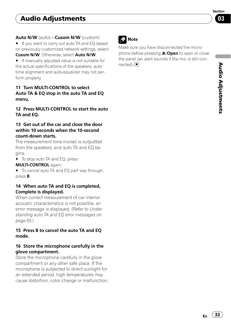### Auto N/W (auto)—Cusom N/W (custom)

■ If you want to carry out auto TA and FQ based on previously customized network settings, select Cusom N/W. Otherwise, select Auto N/W.

**If manually adjusted value is not suitable for** the actual specifications of the speakers, autotime alignment and auto-equalizer may not perform properly.

#### 11 Turn MULTI-CONTROL to select Auto TA & EQ stop in the auto TA and EQ menu.

#### 12 Press MULTI-CONTROL to start the auto TA and EQ.

#### 13 Get out of the car and close the door within 10 seconds when the 10-second count-down starts.

The measurement tone (noise) is outputted from the speakers, and auto TA and EQ begins.

■ To stop auto TA and EQ, press MULTI-CONTROL again.

■ To cancel auto TA and EQ part way through, press B.

#### 14 When auto TA and EQ is completed, Complete is displayed.

When correct measurement of car interior acoustic characteristics is not possible, an error message is displayed. (Refer to [Under](#page-62-0)[standing auto TA and EQ error messages](#page-62-0) on [page 63.](#page-62-0))

#### 15 Press B to cancel the auto TA and EQ mode.

#### 16 Store the microphone carefully in the glove compartment.

Store the microphone carefully in the glove compartment or any other safe place. If the microphone is subjected to direct sunlight for an extended period, high temperatures may cause distortion, color change or malfunction.

# **2** Note

Make sure you have disconnected the microphone before pressing **A/Open** to open or close the panel (an alert sounds if the mic is still connected).**□** 

 $E_n$  (33)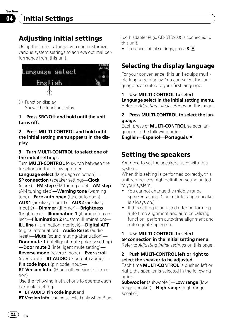# <span id="page-33-0"></span>Initial Settings

# Adjusting initial settings

Using the initial settings, you can customize various system settings to achieve optimal performance from this unit.



1 Function display Shows the function status.

#### 1 Press SRC/Off and hold until the unit turns off.

#### 2 Press MULTI-CONTROL and hold until the initial setting menu appears in the display.

### 3 Turn MULTI-CONTROL to select one of the initial settings.

Turn **MULTI-CONTROL** to switch between the functions in the following order. Language select (language selection)-SP connection (speaker setting)-Clock (clock)—FM step (FM tuning step)—AM step (AM tuning step)—Warning tone (warning tone)-Face auto open (face auto open)-AUX1 (auxiliary input 1)—AUX2 (auxiliary input 2)-Dimmer (dimmer)-Brightness (brightness)—Illumination 1 (illumination select)—**Illumination 2** (custom illumination)— ILL line (illumination interlock)-Digital ATT (digital attenuation)—Audio Reset (audio reset)—**Mute** (sound muting/attenuation)— **Door mute 1** (intelligent mute polarity setting) **Door mute 2** (intelligent mute setting)— Reverse mode (reverse mode)—Ever-scroll (ever scroll)-BT AUDIO (Bluetooth audio)-

Pin code input (pin code input)— **BT Version Info.** (Bluetooth version informa-

tion) Use the following instructions to operate each

particular setting.

**BT AUDIO, Pin code input and** 

**BT Version Info.** can be selected only when Blue-

tooth adapter (e.g., CD-BTB200) is connected to this unit.

 $\blacksquare$  To cancel initial settings, press **B**.

# Selecting the display language

For your convenience, this unit equips multiple language display. You can select the language best suited to your first language.

#### 1 Use MULTI-CONTROL to select Language select in the initial setting menu.

Refer to *Adjusting initial settings* on this page.

### 2 Press MULTI-CONTROL to select the language.

Each press of MULTI-CONTROL selects languages in the following order:

English—Español—Português

# Setting the speakers

You need to set the speakers used with this system.

When this setting is performed correctly, this unit reproduces high-definition sound suited to your system.

- You cannot change the middle-range speaker setting. (The middle-range speaker is always on.)
- If this setting is adjusted after performing auto-time alignment and auto-equalizing function, perform auto-time alignment and auto-equalizing again.

## 1 Use MULTI-CONTROL to select SP connection in the initial setting menu.

Refer to Adjusting initial settings on this page.

## 2 Push MULTI-CONTROL left or right to select the speaker to be adjusted.

Each time **MULTI-CONTROL** is pushed left or right, the speaker is selected in the following order:

**Subwoofer** (subwoofer)-Low range (low range speaker)—**High range** (high range speaker)

34) <sub>En</sub>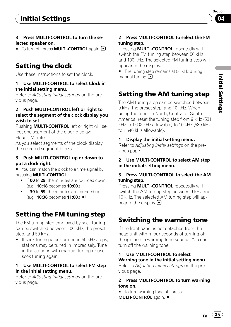# <span id="page-34-0"></span>Initial Settings

### 3 Press MULTI-CONTROL to turn the selected speaker on.

■ To turn off, press **MULTI-CONTROL** again. ■

# Setting the clock

Use these instructions to set the clock.

#### 1 Use MULTI-CONTROL to select Clock in the initial setting menu.

Refer to [Adjusting initial settings](#page-33-0) on the pre[vious page.](#page-33-0)

#### 2 Push MULTI-CONTROL left or right to select the segment of the clock display you wish to set.

Pushing **MULTI-CONTROL** left or right will select one segment of the clock display: Hour—Minute

As you select segments of the clock display, the selected segment blinks.

#### 3 Push MULTI-CONTROL up or down to put a clock right.

■ You can match the clock to a time signal by pressing MULTI-CONTROL.

- . If 00 to 29, the minutes are rounded down. (e.g., 10:18 becomes 10:00.)
- . If 30 to 59, the minutes are rounded up.  $(e.g., 10:36$  becomes  $11:00$ .)

# Setting the FM tuning step

The FM tuning step employed by seek tuning can be switched between 100 kHz, the preset step, and 50 kHz.

• If seek tuning is performed in 50 kHz steps, stations may be tuned in imprecisely. Tune in the stations with manual tuning or use seek tuning again.

### 1 Use MULTI-CONTROL to select FM step in the initial setting menu.

Refer to [Adjusting initial settings](#page-33-0) on the pre[vious page.](#page-33-0)

### 2 Press MULTI-CONTROL to select the FM tuning step.

Pressing **MULTI-CONTROL** repeatedly will switch the FM tuning step between 50 kHz and 100 kHz. The selected FM tuning step will appear in the display.

■ The tuning step remains at 50 kHz during manual tuning.  $\Box$ 

# Setting the AM tuning step

The AM tuning step can be switched between 9 kHz, the preset step, and 10 kHz. When using the tuner in North, Central or South America, reset the tuning step from 9 kHz (531 kHz to 1 602 kHz allowable) to 10 kHz (530 kHz to 1 640 kHz allowable).

### 1 Display the initial setting menu.

Refer to [Adjusting initial settings](#page-33-0) on the pre[vious page.](#page-33-0)

#### 2 Use MULTI-CONTROL to select AM step in the initial setting menu.

### 3 Press MULTI-CONTROL to select the AM tuning step.

Pressing **MULTI-CONTROL** repeatedly will switch the AM tuning step between 9 kHz and 10 kHz. The selected AM tuning step will appear in the display.  $\blacksquare$ 

# Switching the warning tone

If the front panel is not detached from the head unit within four seconds of turning off the ignition, a warning tone sounds. You can turn off the warning tone.

### 1 Use MULTI-CONTROL to select Warning tone in the initial setting menu.

Refer to [Adjusting initial settings](#page-33-0) on the pre[vious page.](#page-33-0)

#### 2 Press MULTI-CONTROL to turn warning tone on.

■ To turn warning tone off, press **MULTI-CONTROL** again.

Section 04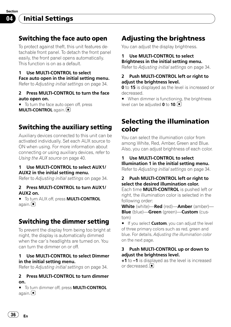<span id="page-35-0"></span>Section 04

# Switching the face auto open

To protect against theft, this unit features detachable front panel. To detach the front panel easily, the front panel opens automatically. This function is on as a default.

1 Use MULTI-CONTROL to select Face auto open in the initial setting menu.

Refer to [Adjusting initial settings](#page-33-0) on page 34.

#### 2 Press MULTI-CONTROL to turn the face auto open on.

 $\blacksquare$  To turn the face auto open off, press **MULTI-CONTROL** again.

# Switching the auxiliary setting

Auxiliary devices connected to this unit can be activated individually. Set each AUX source to ON when using. For more information about connecting or using auxiliary devices, refer to [Using the AUX source](#page-39-0) on page 40.

#### 1 Use MULTI-CONTROL to select AUX1/ AUX2 in the initial setting menu.

Refer to [Adjusting initial settings](#page-33-0) on page 34.

#### 2 Press MULTI-CONTROL to turn AUX1/ AUX2 on.

 $\blacksquare$  To turn AUX off, press **MULTI-CONTROL** again. U

# Switching the dimmer setting

To prevent the display from being too bright at night, the display is automatically dimmed when the car's headlights are turned on. You can turn the dimmer on or off.

#### 1 Use MULTI-CONTROL to select Dimmer in the initial setting menu.

Refer to [Adjusting initial settings](#page-33-0) on page 34.

#### 2 Press MULTI-CONTROL to turn dimmer on.

 $\blacksquare$  To turn dimmer off, press **MULTI-CONTROL** again.<sup>1</sup>

# Adjusting the brightness

You can adjust the display brightness.

#### 1 Use MULTI-CONTROL to select Brightness in the initial setting menu.

Refer to [Adjusting initial settings](#page-33-0) on page 34.

### 2 Push MULTI-CONTROL left or right to adjust the brightness level.

**0** to **15** is displayed as the level is increased or decreased.

■ When dimmer is functioning, the brightness level can be adjusted  $0$  to  $10$ .

# Selecting the illumination color

You can select the illumination color from among White, Red, Amber, Green and Blue. Also, you can adjust brightness of each color.

#### 1 Use MULTI-CONTROL to select Illumination 1 in the initial setting menu.

Refer to [Adjusting initial settings](#page-33-0) on page 34.

## 2 Push MULTI-CONTROL left or right to select the desired illumination color.

Each time MULTI-CONTROL is pushed left or right, the illumination color is selected in the following order:

White (white)—Red (red)—Amber (amber)— **Blue** (blue)-Green (green)-Custom (custom)

■ If you select **Custom**, you can adjust the level of three primary colors such as red, green and blue. For details, [Adjusting the illumination color](#page-36-0) [on the next page](#page-36-0).

### 3 Push MULTI-CONTROL up or down to adiust the brightness level.

+1 to –1 is displayed as the level is increased or decreased.<sup>1</sup>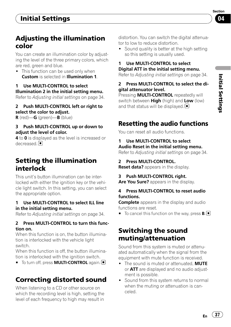# <span id="page-36-0"></span>Adjusting the illumination color

You can create an illumination color by adjusting the level of the three primary colors, which are red, green and blue.

• This function can be used only when Custom is selected in Illumination 1.

## 1 Use MULTI-CONTROL to select Illumination 2 in the initial setting menu.

Refer to [Adjusting initial settings](#page-33-0) on page 34.

### 2 Push MULTI-CONTROL left or right to select the color to adjust.

R (red)—G (green)—B (blue)

### 3 Push MULTI-CONTROL up or down to adjust the level of color.

4 to 0 is displayed as the level is increased or decreased.<sup>1</sup>

# Setting the illumination interlock

This unit's button illumination can be interlocked with either the ignition key or the vehicle light switch. In this setting, you can select the appropriate option.

### 1 Use MULTI-CONTROL to select ILL line in the initial setting menu.

Refer to [Adjusting initial settings](#page-33-0) on page 34.

### 2 Press MULTI-CONTROL to turn this function on.

When this function is on, the button illumination is interlocked with the vehicle light switch.

When this function is off, the button illumination is interlocked with the ignition switch.

■ To turn off, press **MULTI-CONTROL** again. ■

# Correcting distorted sound

When listening to a CD or other source on which the recording level is high, setting the level of each frequency to high may result in

distortion. You can switch the digital attenuator to low to reduce distortion.

• Sound quality is better at the high setting so this setting is usually used.

#### 1 Use MULTI-CONTROL to select Digital ATT in the initial setting menu.

Refer to [Adjusting initial settings](#page-33-0) on page 34.

### 2 Press MULTI-CONTROL to select the digital attenuator level.

Pressing **MULTI-CONTROL** repeatedly will switch between **High** (high) and **Low** (low) and that status will be displayed.  $\blacksquare$ 

# Resetting the audio functions

You can reset all audio functions.

## 1 Use MULTI-CONTROL to select Audio Reset in the initial setting menu.

Refer to [Adjusting initial settings](#page-33-0) on page 34.

## 2 Press MULTI-CONTROL.

**Reset data?** appears in the display.

## 3 Push MULTI-CONTROL right.

Are You Sure? appears in the display.

#### 4 Press MULTI-CONTROL to reset audio functions.

**Complete** appears in the display and audio functions are reset.

 $\blacksquare$  To cancel this function on the way, press **B**.

# Switching the sound muting/attenuation

Sound from this system is muted or attenuated automatically when the signal from the equipment with mute function is received.

- The sound is muted or attenuated. MUTE or **ATT** are displayed and no audio adjustment is possible.
- Sound from this system returns to normal when the muting or attenuation is canceled.

 $E_n$  (37)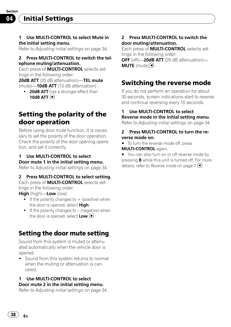<span id="page-37-0"></span>Initial Settings

#### 1 Use MULTI-CONTROL to select Mute in the initial setting menu.

Refer to [Adjusting initial settings](#page-33-0) on page 34.

#### 2 Press MULTI-CONTROL to switch the telephone muting/attenuation.

Each press of **MULTI-CONTROL** selects settings in the following order:

20dB ATT (20 dB attenuation)-TEL mute (mute) $-10$ dB ATT (10 dB attenuation)

• 20dB ATT has a stronger effect than 10dB ATT $\Box$ 

# Setting the polarity of the door operation

Before using door mute function, it is necessary to set the polarity of the door operation. Check the polarity of the door opening operation, and set it correctly.

#### 1 Use MULTI-CONTROL to select Door mute 1 in the initial setting menu.

Refer to [Adjusting initial settings](#page-33-0) on page 34.

#### 2 Press MULTI-CONTROL to select setting.

Each press of **MULTI-CONTROL** selects settings in the following order:

High (high)—Low (low)

- $\bullet$  If the polarity changes to  $+$  (positive) when the door is opened, select High.
- $\bullet$  If the polarity changes to (negative) when the door is opened, select  $\text{Low}.\blacksquare$

# Setting the door mute setting

Sound from this system is muted or attenuated automatically when the vehicle door is opened.

• Sound from this system returns to normal when the muting or attenuation is canceled.

### 1 Use MULTI-CONTROL to select Door mute 2 in the initial setting menu.

Refer to [Adjusting initial settings](#page-33-0) on page 34.

#### 2 Press MULTI-CONTROL to switch the door muting/attenuation.

Each press of **MULTI-CONTROL** selects settings in the following order:

OFF (off)-20dB ATT (20 dB attenuation)- $MUTE$  (mute) $\Box$ 

# Switching the reverse mode

If you do not perform an operation for about 30 seconds, screen indications start to reverse, and continue reversing every 10 seconds.

#### 1 Use MULTI-CONTROL to select Reverse mode in the initial setting menu.

Refer to [Adjusting initial settings](#page-33-0) on page 34.

#### 2 Press MULTI-CONTROL to turn the reverse mode on.

 $\blacksquare$  To turn the reverse mode off, press MULTI-CONTROL again.

■ You can also turn on or off reverse mode by pressing **B** while this unit is turned off. For more details, refer to *[Reverse mode](#page-6-0)* on page 7. [■]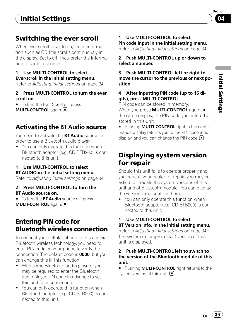# <span id="page-38-0"></span>Switching the ever scroll

When ever scroll is set to on, literal information such as CD title scrolls continuously in the display. Set to off if you prefer the information to scroll just once.

## 1 Use MULTI-CONTROL to select Ever-scroll in the initial setting menu.

Refer to [Adjusting initial settings](#page-33-0) on page 34.

### 2 Press MULTI-CONTROL to turn the ever scroll on.

■ To turn the Ever Scroll off, press **MULTI-CONTROL** again.

# Activating the BT Audio source

You need to activate the **BT Audio** source in order to use a Bluetooth audio player.

• You can only operate this function when Bluetooth adapter (e.g. CD-BTB200) is connected to this unit.

## 1 Use MULTI-CONTROL to select BT AUDIO in the initial setting menu.

Refer to [Adjusting initial settings](#page-33-0) on page 34.

#### 2 Press MULTI-CONTROL to turn the BT Audio source on.

■ To turn the BT Audio source off, press **MULTI-CONTROL again.** 

# Entering PIN code for Bluetooth wireless connection

To connect your cellular phone to this unit via Bluetooth wireless technology, you need to enter PIN code on your phone to verify the connection. The default code is 0000, but you can change this in this function.

- ! With some Bluetooth audio players, you may be required to enter the Bluetooth audio player PIN code in advance to set this unit for a connection.
- You can only operate this function when Bluetooth adapter (e.g. CD-BTB200) is connected to this unit.

#### 1 Use MULTI-CONTROL to select Pin code input in the initial setting menu.

Refer to [Adjusting initial settings](#page-33-0) on page 34.

2 Push MULTI-CONTROL up or down to select a number.

3 Push MULTI-CONTROL left or right to move the cursor to the previous or next position.

### 4 After inputting PIN code (up to 16 digits), press MULTI-CONTROL.

PIN code can be stored in memory.

When you press **MULTI-CONTROL** again on the same display, the PIN code you entered is stored in this unit.

**Pushing MULTI-CONTROL right in the confir**mation display returns you to the PIN code input display, and you can change the PIN code.  $\blacksquare$ 

# Displaying system version for repair

Should this unit fails to operate properly and you consult your dealer for repair, you may be asked to indicate the system versions of this unit and of Bluetooth module. You can display the versions and confirm them.

• You can only operate this function when Bluetooth adapter (e.g. CD-BTB200) is connected to this unit.

## 1 Use MULTI-CONTROL to select BT Version Info. in the initial setting menu.

Refer to [Adjusting initial settings](#page-33-0) on page 34. The system (microprocessor) version of this unit is displayed.

#### 2 Push MULTI-CONTROL left to switch to the version of the Bluetooth module of this unit.

**E** Pushing **MULTI-CONTROL** right returns to the system version of this unit.

Section 04

 $E_n$  (39)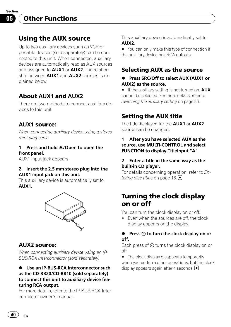<span id="page-39-0"></span>Section 05

# Using the AUX source

Up to two auxiliary devices such as VCR or portable devices (sold separately) can be connected to this unit. When connected, auxiliary devices are automatically read as AUX sources and assigned to **AUX1** or **AUX2**. The relationship between **AUX1** and **AUX2** sources is explained below.

## About AUX1 and AUX2

There are two methods to connect auxiliary devices to this unit.

## AUX1 source:

When connecting auxiliary device using a stereo mini plug cable

#### 1 Press and hold  $\triangle$ /Open to open the front panel.

AUX1 input jack appears.

#### 2 Insert the 2.5 mm stereo plug into the AUX1 input jack on this unit.

This auxiliary device is automatically set to AUX1.



## AUX2 source:

When connecting auxiliary device using an IP-BUS-RCA Interconnector (sold separately)

#### $\bullet$  Use an IP-BUS-RCA Interconnector such as the CD-RB20/CD-RB10 (sold separately) to connect this unit to auxiliary device featuring RCA output.

For more details, refer to the IP-BUS-RCA Interconnector owner's manual.

This auxiliary device is automatically set to AUX2.

■ You can only make this type of connection if the auxiliary device has RCA outputs.

## Selecting AUX as the source

### % Press SRC/Off to select AUX (AUX1 or AUX2) as the source.

 $\blacksquare$  If the auxiliary setting is not turned on,  $\text{AUX}$ cannot be selected. For more details, refer to [Switching the auxiliary setting](#page-35-0) on page 36.

# Setting the AUX title

The title displayed for the AUX1 or AUX2 source can be changed.

#### 1 After you have selected AUX as the source, use MULTI-CONTROL and select FUNCTION to display TitleInput "A".

#### 2 Enter a title in the same way as the built-in CD player.

For details concerning operation, refer to [En](#page-15-0)[tering disc titles](#page-15-0) on page 16. $\blacksquare$ 

# Turning the clock display on or off

You can turn the clock display on or off.

• Even when the sources are off, the clock display appears on the display.

#### $\bullet$  Press  $\odot$  to turn the clock display on or off.

Each press of  $\Theta$  turns the clock display on or off.

■ The clock display disappears temporarily when you perform other operations, but the clock display appears again after 4 seconds.  $\blacksquare$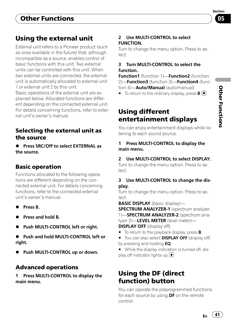# <span id="page-40-0"></span>Using the external unit

External unit refers to a Pioneer product (such as ones available in the future) that, although incompatible as a source, enables control of basic functions with this unit. Two external units can be controlled with this unit. When two external units are connected, the external unit is automatically allocated to external unit 1 or external unit 2 by this unit. Basic operations of the external unit are explained below. Allocated functions are different depending on the connected external unit. For details concerning functions, refer to external unit's owner's manual.

# Selecting the external unit as the source

**• Press SRC/Off to select EXTERNAL as** the source.

# Basic operation

Functions allocated to the following operations are different depending on the connected external unit. For details concerning functions, refer to the connected external unit's owner's manual.

- Press B.
- Press and hold B.
- % Push MULTI-CONTROL left or right.
- % Push and hold MULTI-CONTROL left or right.
- % Push MULTI-CONTROL up or down.

# Advanced operations

1 Press MULTI-CONTROL to display the main menu.

### 2 Use MULTI-CONTROL to select FUNCTION.

Turn to change the menu option. Press to select.

## 3 Turn MULTI-CONTROL to select the function.

**Function1** (function 1)-Function2 (function 2)-Function3 (function 3)-Function4 (function 4)-**Auto/Manual** (auto/manual)

 $\blacksquare$  To return to the ordinary display, press **B**.

# Using different entertainment displays

You can enjoy entertainment displays while listening to each sound source.

## 1 Press MULTI-CONTROL to display the main menu.

## 2 Use MULTI-CONTROL to select DISPLAY.

Turn to change the menu option. Press to select.

## 3 Use MULTI-CONTROL to change the display.

Turn to change the menu option. Press to select.

BASIC DISPLAY (basic display)—

**SPECTRUM ANALYZER-1** (spectrum analyzer 1)-SPECTRUM ANALYZER-2 (spectrum analyzer 2)-LEVEL METER (level meter)-**DISPLAY OFF** (display off)

- $\blacksquare$  To return to the playback display, press **B**.
- You can also select **DISPLAY OFF** (display off) by pressing and holding EQ.
- While the display indication is turned off, display off indicator lights up.  $\blacksquare$

# Using the DF (direct function) button

You can operate the preprogrammed functions for each source by using **DF** on the remote control.

 $E_n$  (41)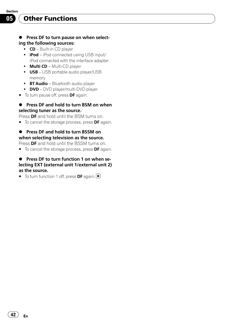# Other Functions

#### **•** Press DF to turn pause on when selecting the following sources:

- $\bullet$   $CD$  Built-in CD player
- **iPod** iPod connected using USB input/ iPod connected with the interface adapter
- Multi CD Multi-CD player
- USB USB portable audio player/USB memory
- BT Audio Bluetooth audio player
- DVD DVD player/multi-DVD player
- To turn pause off, press DF again.

#### ● Press DF and hold to turn BSM on when selecting tuner as the source.

Press **DF** and hold until the BSM turns on.

 $\blacksquare$  To cancel the storage process, press **DF** again.

## ● Press DF and hold to turn BSSM on when selecting television as the source.

Press **DF** and hold until the BSSM turns on.

 $\blacksquare$  To cancel the storage process, press **DF** again.

#### ● Press DF to turn function 1 on when selecting EXT (external unit 1/external unit 2) as the source.

 $\blacksquare$  To turn function 1 off, press **DF** again.  $\blacksquare$ 

42 En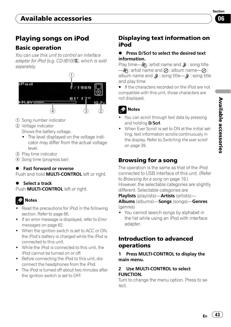

# <span id="page-42-0"></span>Playing songs on iPod

## Basic operation

You can use this unit to control an interface adapter for iPod (e.g.  $CD$ -IB100 $\mathbb{I}$ ), which is sold separately.



- 1 Song number indicator
- 2 Voltage indicator

Shows the battery voltage.

- The level displayed on the voltage indicator may differ from the actual voltage level.
- 3 Play time indicator
- 4 Song time (progress bar)

## **•** Fast forward or reverse

Push and hold **MULTI-CONTROL** left or right.

### **Select a track**

Push **MULTI-CONTROL** left or right.

# **2** Notes

- Read the precautions for iPod in the following section. Refer to [page 66](#page-65-0).
- If an error message is displayed, refer to [Error](#page-61-0) messages [on page 62](#page-61-0).
- When the ignition switch is set to ACC or ON, the iPod's battery is charged while the iPod is connected to this unit.
- ! While the iPod is connected to this unit, the iPod cannot be turned on or off.
- Before connecting the iPod to this unit, disconnect the headphones from the iPod.
- The iPod is turned off about two minutes after the ignition switch is set to OFF.

# Displaying text information on iPod

#### % Press D/Scrl to select the desired text information.

Play time— $\mathbb{R}$ : artist name and  $\mathbb{D}$ : song title  $\longrightarrow$ A: artist name and  $\oslash$ : album name— $\oslash$ : album name and  $\mathbf{D}$ : song title— $\mathbf{D}$ : song title and play time

**If the characters recorded on the iPod are not** compatible with this unit, those characters are not displayed.



- You can scroll through text data by pressing and holding **D/Scrl**.
- . When Ever Scroll is set to ON at the initial setting, text information scrolls continuously in the display. Refer to [Switching the ever scroll](#page-38-0) [on page 39](#page-38-0).

# Browsing for a song

The operation is the same as that of the iPod connected to USB interface of this unit. (Refer to [Browsing for a song](#page-18-0) on page 19.) However, the selectable categories are slightly different. Selectable categories are

Playlists (playlists)—Artists (artists)—

Albums (albums)—Songs (songs)—Genres (genres)

You cannot search songs by alphabet in the list while using an iPod with interface adapter.

## Introduction to advanced operations

Press MULTI-CONTROL to display the main menu.

#### 2 Use MULTI-CONTROL to select FUNCTION.

Turn to change the menu option. Press to select.

 $E_n$  (43)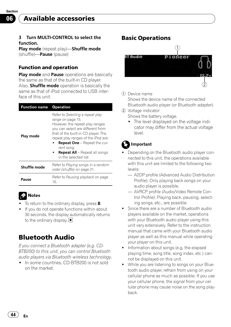#### <span id="page-43-0"></span>3 Turn MULTI-CONTROL to select the function.

Play mode (repeat play)-Shuffle mode (shuffle)—Pause (pause)

### Function and operation

Play mode and Pause operations are basically the same as that of the built-in CD player. Also, **Shuffle mode** operation is basically the same as that of iPod connected to USB interface of this unit.

| <b>Function name</b> | <b>Operation</b>                                                                                                                                                                                                                                                                                                                |  |
|----------------------|---------------------------------------------------------------------------------------------------------------------------------------------------------------------------------------------------------------------------------------------------------------------------------------------------------------------------------|--|
| Play mode            | Refer to Selecting a repeat play<br>range on page 15.<br>However, the repeat play ranges<br>you can select are different from<br>that of the built-in CD player. The<br>repeat play ranges of the iPod are:<br><b>Repeat One</b> - Repeat the cur-<br>rent song<br><b>Repeat All</b> – Repeat all songs<br>in the selected list |  |
| Shuffle mode         | Refer to Playing songs in a random<br>order (shuffle) on page 21.                                                                                                                                                                                                                                                               |  |
| Pause                | Refer to <i>Pausing playback</i> on page<br>16.                                                                                                                                                                                                                                                                                 |  |

# Notes

- To return to the ordinary display, press **B**.
- If you do not operate functions within about 30 seconds, the display automatically returns to the ordinary display.

# Bluetooth Audio

If you connect a Bluetooth adapter (e.g. CD-BTB200) to this unit, you can control Bluetooth audio players via Bluetooth wireless technology.

• In some countries, CD-BTB200 is not sold on the market.

## Basic Operations



#### 1 Device name

Shows the device name of the connected Bluetooth audio player (or Bluetooth adapter).

- 2 Voltage indicator
	- Shows the battery voltage.
	- The level displayed on the voltage indicator may differ from the actual voltage level.

# Important

- Depending on the Bluetooth audio player connected to this unit, the operations available with this unit are limited to the following two levels:
	- A2DP profile (Advanced Audio Distribution Profile): Only playing back songs on your audio player is possible.
	- AVRCP profile (Audio/Video Remote Control Profile): Playing back, pausing, selecting songs, etc., are possible.
- ! Since there are a number of Bluetooth audio players available on the market, operations with your Bluetooth audio player using this unit vary extensively. Refer to the instruction manual that came with your Bluetooth audio player as well as this manual while operating your player on this unit.
- Information about songs (e.g. the elapsed playing time, song title, song index, etc.) cannot be displayed on this unit.
- While you are listening to songs on your Bluetooth audio player, refrain from using on your cellular phone as much as possible. If you use your cellular phone, the signal from your cellular phone may cause noise on the song playback.

44 En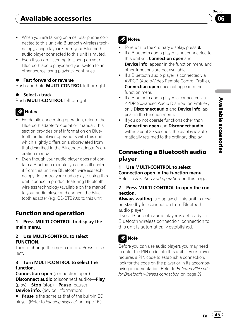- <span id="page-44-0"></span>• When you are talking on a cellular phone connected to this unit via Bluetooth wireless technology, song playback from your Bluetooth audio player connected to this unit is muted.
- Even if you are listening to a song on your Bluetooth audio player and you switch to another source, song playback continues.
- **•** Fast forward or reverse Push and hold **MULTI-CONTROL** left or right.
- Select a track Push **MULTI-CONTROL** left or right.

# **Z** Notes

- For details concerning operation, refer to the Bluetooth adapter's operation manual. This section provides brief information on Bluetooth audio player operations with this unit, which slightly differs or is abbreviated from that described in the Bluetooth adapter's operation manual.
- Even though your audio player does not contain a Bluetooth module, you can still control it from this unit via Bluetooth wireless technology. To control your audio player using this unit, connect a product featuring Bluetooth wireless technology (available on the market) to your audio player and connect the Bluetooth adapter (e.g. CD-BTB200) to this unit.

# Function and operation

### 1 Press MULTI-CONTROL to display the main menu.

#### 2 Use MULTI-CONTROL to select FUNCTION.

Turn to change the menu option. Press to select.

### 3 Turn MULTI-CONTROL to select the function.

Connection open (connection open)-Disconnect audio (disconnect audio)—Play (play)—Stop (stop)—Pause (pause)— **Device info.** (device information)

**Pause** is the same as that of the built-in CD player. (Refer to [Pausing playback](#page-15-0) on page 16.)

# Notes

- To return to the ordinary display, press **B**.
- If a Bluetooth audio player is not connected to this unit yet. **Connection open** and **Device info.** appear in the function menu and other functions are not available.
- If a Bluetooth audio player is connected via AVRCP (Audio/Video Remote Control Profile), **Connection open** does not appear in the function menu.
- If a Bluetooth audio player is connected via A2DP (Advanced Audio Distribution Profile) , only Disconnect audio and Device info. appear in the function menu.
- If you do not operate functions other than Connection open and Disconnect audio within about 30 seconds, the display is automatically returned to the ordinary display.

# Connecting a Bluetooth audio player

### 1 Use MULTI-CONTROL to select Connection open in the function menu.

Refer to *Function and operation* on this page.

## 2 Press MULTI-CONTROL to open the connection.

Always waiting is displayed. This unit is now on standby for connection from Bluetooth audio player.

If your Bluetooth audio player is set ready for Bluetooth wireless connection, connection to this unit is automatically established.

![](_page_44_Figure_27.jpeg)

Before you can use audio players you may need to enter the PIN code into this unit. If your player requires a PIN code to establish a connection, look for the code on the player or in its accompanying documentation. Refer to *[Entering PIN code](#page-38-0)* [for Bluetooth wireless connection](#page-38-0) on page 39.

በ6

Section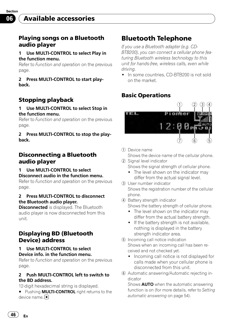## <span id="page-45-0"></span>Playing songs on a Bluetooth audio player

#### 1 Use MULTI-CONTROL to select Play in the function menu.

Refer to [Function and operation](#page-44-0) on the previous [page](#page-44-0).

2 Press MULTI-CONTROL to start playback.

# Stopping playback

#### 1 Use MULTI-CONTROL to select Stop in the function menu.

Refer to [Function and operation](#page-44-0) on the previous [page](#page-44-0).

#### 2 Press MULTI-CONTROL to stop the playback.

## Disconnecting a Bluetooth audio player

1 Use MULTI-CONTROL to select Disconnect audio in the function menu.

Refer to [Function and operation](#page-44-0) on the previous [page](#page-44-0).

#### 2 Press MULTI-CONTROL to disconnect the Bluetooth audio player.

**Disconnected** is displayed. The Bluetooth audio player is now disconnected from this unit.

## Displaying BD (Bluetooth Device) address

#### Use MULTI-CONTROL to select Device info. in the function menu.

Refer to [Function and operation](#page-44-0) on the previous [page](#page-44-0).

#### 2 Push MULTI-CONTROL left to switch to the BD address.

12-digit hexadecimal string is displayed.

**Pushing MULTI-CONTROL** right returns to the device name.<sup>■</sup>

# Bluetooth Telephone

If you use a Bluetooth adapter (e.g. CD-BTB200), you can connect a cellular phone featuring Bluetooth wireless technology to this unit for hands-free, wireless calls, even while driving.

• In some countries, CD-BTB200 is not sold on the market.

# Basic Operations

![](_page_45_Figure_25.jpeg)

1 Device name

Shows the device name of the cellular phone.

- 2 Signal level indicator Shows the signal strength of cellular phone.
	- The level shown on the indicator may differ from the actual signal level.
- 3 User number indicator Shows the registration number of the cellular phone.
- 4 Battery strength indicator

Shows the battery strength of cellular phone.

- The level shown on the indicator may differ from the actual battery strength.
- If the battery strength is not available. nothing is displayed in the battery strength indicator area.
- 5 Incoming call notice indication Shows when an incoming call has been received and not checked yet.
	- Incoming call notice is not displayed for calls made when your cellular phone is disconnected from this unit.
- 6 Automatic answering/Automatic rejecting indicator

Shows **AUTO** when the automatic answering function is on (for more details, refer to [Setting](#page-53-0) [automatic answering](#page-53-0) on page 54).

46) <sub>En</sub>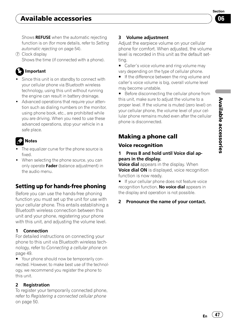# <span id="page-46-0"></span>Available accessories

Section በ6

Shows REFUSE when the automatic rejecting function is on (for more details, refer to [Setting](#page-53-0) [automatic rejecting](#page-53-0) on page 54).

7 Clock display Shows the time (if connected with a phone).

# Important

- Since this unit is on standby to connect with your cellular phone via Bluetooth wireless technology, using this unit without running the engine can result in battery drainage.
- ! Advanced operations that require your attention such as dialing numbers on the monitor, using phone book, etc., are prohibited while you are driving. When you need to use these advanced operations, stop your vehicle in a safe place.

# Notes

- The equalizer curve for the phone source is fixed.
- When selecting the phone source, you can only operate Fader (balance adjustment) in the audio menu.

# Setting up for hands-free phoning

Before you can use the hands-free phoning function you must set up the unit for use with your cellular phone. This entails establishing a Bluetooth wireless connection between this unit and your phone, registering your phone with this unit, and adjusting the volume level.

## 1 Connection

For detailed instructions on connecting your phone to this unit via Bluetooth wireless technology, refer to [Connecting a cellular phone](#page-48-0) on [page 49.](#page-48-0)

■ Your phone should now be temporarily connected. However, to make best use of the technology, we recommend you register the phone to this unit.

## 2 Registration

To register your temporarily connected phone, refer to [Registering a connected cellular phone](#page-49-0) [on page 50](#page-49-0).

## 3 Volume adjustment

Adjust the earpiece volume on your cellular phone for comfort. When adjusted, the volume level is recorded in this unit as the default setting.

■ Caller's voice volume and ring volume may vary depending on the type of cellular phone.

■ If the difference between the ring volume and caller's voice volume is big, overall volume level may become unstable.

**Before disconnecting the cellular phone from** this unit, make sure to adjust the volume to a proper level. If the volume is muted (zero level) on your cellular phone, the volume level of your cellular phone remains muted even after the cellular phone is disconnected.

# Making a phone call

## Voice recognition

### 1 Press B and hold until Voice dial appears in the display.

**Voice dial** appears in the display. When Voice dial ON is displayed, voice recognition function is now ready.

**If your cellular phone does not feature voice** recognition function, No voice dial appears in the display and operation is not possible.

## 2 Pronounce the name of your contact.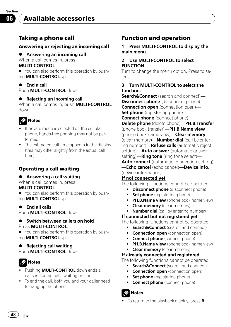## <span id="page-47-0"></span>Taking a phone call

### Answering or rejecting an incoming call

- **•** Answering an incoming call
- When a call comes in, press

### MULTI-CONTROL.

■ You can also perform this operation by pushing MULTI-CONTROL up.

#### % End a call Push **MULTI-CONTROL** down

### ● Rejecting an incoming call

When a call comes in, push **MULTI-CONTROL** down.

# **Notes**

- If private mode is selected on the cellular phone, hands-free phoning may not be performed.
- The estimated call time appears in the display (this may differ slightly from the actual call time).

## Operating a call waiting

- **•** Answering a call waiting
- When a call comes in, press MULTI-CONTROL.
- You can also perform this operation by pushing MULTI-CONTROL up.
- $\bullet$  End all calls

Push **MULTI-CONTROL** down.

#### **•** Switch between callers on hold Press **MULTI-CONTROL**

■ You can also perform this operation by pushing MULTI-CONTROL up.

#### **Rejecting call waiting** Push **MULTI-CONTROL** down.

# Notes

- Pushing **MULTI-CONTROL** down ends all calls including calls waiting on line.
- ! To end the call, both you and your caller need to hang up the phone.

# Function and operation

1 Press MULTI-CONTROL to display the main menu.

#### 2 Use MULTI-CONTROL to select FUNCTION.

Turn to change the menu option. Press to select.

#### 3 Turn MULTI-CONTROL to select the function.

Search&Connect (search and connect)-**Disconnect phone** (disconnect phone)-Connection open (connection open)-Set phone (registering phone)-**Connect phone** (connect phone)-Delete phone (delete phone)—PH.B.Transfer (phone book transfer)-PH.B.Name view (phone book name view)—**Clear memory** (clear memory)-Number dial (call by entering number)—**Refuse calls** (automatic reject setting)—**Auto answer** (automatic answer setting)—**Ring tone** (ring tone select)— **Auto connect** (automatic connection setting) —Echo cancel (echo cancel)—Device info. (device information)

### If not connected yet

The following functions cannot be operated.

- **Disconnect phone** (disconnect phone)
- Set phone (registering phone)
- PH.B.Name view (phone book name view)
- Clear memory (clear memory)
- **Number dial** (call by entering number)

## If connected but not registered yet

The following functions cannot be operated.

- **Search&Connect** (search and connect)
- **Connection open** (connection open)
- Connect phone (connect phone)
- PH.B.Name view (phone book name view)
- Clear memory (clear memory)

### If already connected and registered

The following functions cannot be operated.

- **Search&Connect** (search and connect)
- **Connection open** (connection open)
- Set phone (registering phone)
- **Connect phone** (connect phone)

Notes

To return to the playback display, press **B**.

48) <sub>En</sub>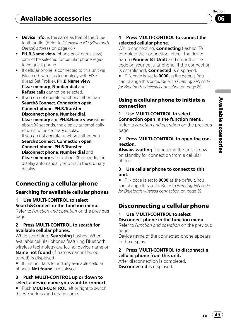Section በ6

- <span id="page-48-0"></span>. Device info. is the same as that of the Bluetooth audio. (Refer to [Displaying BD \(Bluetooth](#page-45-0) [Device\) address](#page-45-0) on page 46.)
- . PH.B.Name view (phone book name view) cannot be selected for cellular phone registered guest phone.
- If cellular phone is connected to this unit via Bluetooth wireless technology with HSP (Head Set Profile), PH.B.Name view, Clear memory, Number dial and Refuse calls cannot be selected.
- If you do not operate functions other than Search&Connect, Connection open, Connect phone, PH.B.Transfer, Disconnect phone, Number dial, Clear memory and PH.B.Name view within about 30 seconds, the display automatically returns to the ordinary display. If you do not operate functions other than Search&Connect, Connection open, Connect phone, PH.B.Transfer, Disconnect phone, Number dial and

**Clear memory** within about 30 seconds, the display automatically returns to the ordinary display.

# Connecting a cellular phone

## Searching for available cellular phones

1 Use MULTI-CONTROL to select Search&Connect in the function menu.

Refer to [Function and operation](#page-47-0) on the previous [page](#page-47-0).

### 2 Press MULTI-CONTROL to search for available cellular phones.

While searching, **Searching** flashes. When available cellular phones featuring Bluetooth wireless technology are found, device name or

Name not found (if names cannot be obtained) is displayed.

**If this unit fails to find any available cellular** phones, **Not found** is displayed.

### 3 Push MULTI-CONTROL up or down to select a device name you want to connect.

**Push MULTI-CONTROL** left or right to switch the BD address and device name.

### 4 Press MULTI-CONTROL to connect the selected cellular phone.

While connecting, **Connecting** flashes. To complete the connection, check the device name (**Pioneer BT Unit**) and enter the link code on your cellular phone. If the connection is established, **Connected** is displayed.

PIN code is set to **0000** as the default. You can change this code. Refer to [Entering PIN code](#page-38-0) [for Bluetooth wireless connection](#page-38-0) on page 39.

## Using a cellular phone to initiate a connection

#### 1 Use MULTI-CONTROL to select Connection open in the function menu.

Refer to [Function and operation](#page-47-0) on the previous [page](#page-47-0).

#### 2 Press MULTI-CONTROL to open the connection.

Always waiting flashes and the unit is now on standby for connection from a cellular phone.

### 3 Use cellular phone to connect to this unit.

PIN code is set to **0000** as the default. You can change this code. Refer to [Entering PIN code](#page-38-0) [for Bluetooth wireless connection](#page-38-0) on page 39.

# Disconnecting a cellular phone

### 1 Use MULTI-CONTROL to select Disconnect phone in the function menu.

Refer to [Function and operation](#page-47-0) on the previous [page](#page-47-0).

Device name of the connected phone appears in the display.

### 2 Press MULTI-CONTROL to disconnect a cellular phone from this unit.

After disconnection is completed, **Disconnected** is displayed.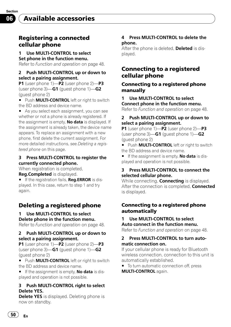<span id="page-49-0"></span>Section 06

## Registering a connected cellular phone

### 1 Use MULTI-CONTROL to select Set phone in the function menu.

Refer to *[Function and operation](#page-47-0)* on page 48.

#### 2 Push MULTI-CONTROL up or down to select a pairing assignment.

P1 (user phone 1)—P2 (user phone 2)—P3 (user phone  $3$ )—G1 (guest phone  $1$ )—G2 (guest phone 2)

**Push MULTI-CONTROL** left or right to switch the BD address and device name.

As you select each assignment, you can see whether or not a phone is already registered. If the assignment is empty, **No data** is displayed. If the assignment is already taken, the device name appears. To replace an assignment with a new phone, first delete the current assignment. For more detailed instructions, see Deleting a registered phone on this page.

#### 3 Press MULTI-CONTROL to register the currently connected phone.

When registration is completed,

Reg.Completed is displayed.

**If the registration fails, Reg.ERROR** is displayed. In this case, return to step 1 and try again.

## Deleting a registered phone

### 1 Use MULTI-CONTROL to select Delete phone in the function menu.

Refer to [Function and operation](#page-47-0) on page 48.

#### 2 Push MULTI-CONTROL up or down to select a pairing assignment.

P1 (user phone 1)—P2 (user phone 2)—P3 (user phone  $3$ )—G1 (guest phone 1)—G2 (guest phone 2)

**Push MULTI-CONTROL** left or right to switch the BD address and device name.

 $\blacksquare$  If the assignment is empty, **No data** is displayed and operation is not possible.

#### 3 Push MULTI-CONTROL right to select Delete YES.

**Delete YES** is displayed. Deleting phone is now on standby.

#### 4 Press MULTI-CONTROL to delete the phone.

After the phone is deleted, Deleted is displayed.

## Connecting to a registered cellular phone

### Connecting to a registered phone manually

## 1 Use MULTI-CONTROL to select Connect phone in the function menu.

Refer to [Function and operation](#page-47-0) on page 48.

#### 2 Push MULTI-CONTROL up or down to select a pairing assignment.

P1 (user phone 1)—P2 (user phone 2)—P3 (user phone  $3$ )—G1 (guest phone 1)—G2 (guest phone 2)

**Push MULTI-CONTROL** left or right to switch the BD address and device name.

 $\blacksquare$  If the assignment is empty, **No data** is displayed and operation is not possible.

#### 3 Press MULTI-CONTROL to connect the selected cellular phone.

While connecting, **Connecting** is displayed. After the connection is completed, Connected is displayed.

## Connecting to a registered phone automatically

# 1 Use MULTI-CONTROL to select

Auto connect in the function menu. Refer to [Function and operation](#page-47-0) on page 48.

### 2 Press MULTI-CONTROL to turn automatic connection on.

If your cellular phone is ready for Bluetooth wireless connection, connection to this unit is automatically established.

 $\blacksquare$  To turn automatic connection off, press MULTI-CONTROL again.

50  $\rangle$  En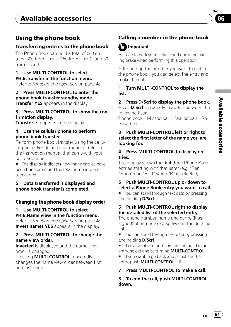# <span id="page-50-0"></span>Available accessories

## Using the phone book

#### Transferring entries to the phone book

The Phone Book can hold a total of 500 entries. 300 from User 1, 150 from User 2, and 50 from User 3.

#### 1 Use MULTI-CONTROL to select PH.B.Transfer in the function menu.

Refer to [Function and operation](#page-47-0) on page 48.

#### 2 Press MULTI-CONTROL to enter the phone book transfer standby mode.

Transfer YES appears in the display.

#### 3 Press MULTI-CONTROL to show the confirmation display.

Transfer -/- appears in the display.

#### 4 Use the cellular phone to perform phone book transfer.

Perform phone book transfer using the cellular phone. For detailed instructions, refer to the instruction manual that came with your cellular phone.

■ The display indicates how many entries have been transferred and the total number to be transferred.

#### 5 Data transferred is displayed and phone book transfer is completed.

### Changing the phone book display order

### 1 Use MULTI-CONTROL to select PH.B.Name view in the function menu.

Refer to [Function and operation](#page-47-0) on page 48. Invert names YES appears in the display.

#### 2 Press MULTI-CONTROL to change the name view order.

**Inverted** is displayed and the name view order is changed.

Pressing **MULTI-CONTROL** repeatedly changes the name view order between first and last name.

## Calling a number in the phone book

# Important

Be sure to park your vehicle and apply the parking brake when performing this operation.

After finding the number you want to call in the phone book, you can select the entry and make the call.

#### 1 Turn MULTI-CONTROL to display the list.

#### 2 Press D/Scrl to display the phone book.

Press D/Scrl repeatedly to switch between the following lists:

Phone book—Missed call—Dialled call—Received call

#### 3 Push MULTI-CONTROL left or right to select the first letter of the name you are looking for.

#### 4 Press MULTI-CONTROL to display entries.

The display shows the first three Phone Book entries starting with that letter (e.g. "Ben", "Brian" and "Burt" when "B" is selected).

#### 5 Push MULTI-CONTROL up or down to select a Phone Book entry you want to call.

■ You can scroll through text data by pressing and holding **D/Scrl**.

#### 6 Push MULTI-CONTROL right to display the detailed list of the selected entry.

The phone number, name and genre (if assigned) of entries are displayed in the detailed list.

You can scroll through text data by pressing and holding **D/Scrl**.

**If several phone numbers are included in an** entry, select one by turning **MULTI-CONTROL**.

**If you want to go back and select another** entry, push **MULTI-CONTROL** left.

#### 7 Press MULTI-CONTROL to make a call.

8 To end the call, push MULTI-CONTROL down.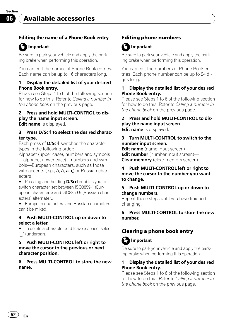#### <span id="page-51-0"></span>Editing the name of a Phone Book entry

## Important

Be sure to park your vehicle and apply the parking brake when performing this operation.

You can edit the names of Phone Book entries. Each name can be up to 16 characters long.

#### 1 Display the detailed list of your desired Phone Book entry.

Please see Steps 1 to 5 of the following section for how to do this. Refer to [Calling a number in](#page-50-0) the *phone book* [on the previous page](#page-50-0).

## 2 Press and hold MULTI-CONTROL to display the name input screen.

**Edit name** is displayed.

#### 3 Press D/Scrl to select the desired character type.

Each press of **D/Scrl** switches the character types in the following order:

Alphabet (upper case), numbers and symbols —alphabet (lower case)—numbers and symbols—European characters, such as those with accents (e.g.,  $\dot{a}$ ,  $\dot{a}$ ,  $\ddot{a}$ ,  $\dot{c}$ ) or Russian characters

■ Pressing and holding **D/Scrl** enables you to switch character set between ISO8859-1 (European characters) and ISO8859-5 (Russian characters) alternately.

**European characters and Russian characters** can't be mixed.

#### 4 Push MULTI-CONTROL up or down to select a letter.

 $\blacksquare$  To delete a character and leave a space, select "\_" (underbar).

#### 5 Push MULTI-CONTROL left or right to move the cursor to the previous or next character position.

6 Press MULTI-CONTROL to store the new name.

## Editing phone numbers

# Important

Be sure to park your vehicle and apply the parking brake when performing this operation.

You can edit the numbers of Phone Book entries. Each phone number can be up to 24 digits long.

#### Display the detailed list of your desired Phone Book entry.

Please see Steps 1 to 6 of the following section for how to do this. Refer to [Calling a number in](#page-50-0) the phone book [on the previous page](#page-50-0).

2 Press and hold MULTI-CONTROL to display the name input screen. **Edit name** is displayed.

#### 3 Turn MULTI-CONTROL to switch to the number input screen.

Edit name (name input screen)-Edit number (number input screen)-**Clear memory** (clear memory screen)

#### 4 Push MULTI-CONTROL left or right to move the cursor to the number you want to change.

#### 5 Push MULTI-CONTROL up or down to change numbers.

Repeat these steps until you have finished changing.

#### 6 Press MULTI-CONTROL to store the new number.

## Clearing a phone book entry

# Important

Be sure to park your vehicle and apply the parking brake when performing this operation.

#### Display the detailed list of your desired Phone Book entry.

Please see Steps 1 to 6 of the following section for how to do this. Refer to [Calling a number in](#page-50-0) the phone book [on the previous page](#page-50-0).

52 $)$   $_{\sf En}$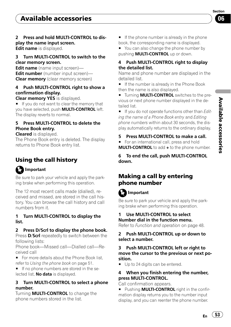#### <span id="page-52-0"></span>2 Press and hold MULTI-CONTROL to display the name input screen.

Edit name is displayed.

### 3 Turn MULTI-CONTROL to switch to the clear memory screen.

Edit name (name input screen)-Edit number (number input screen)-Clear memory (clear memory screen)

#### 4 Push MULTI-CONTROL right to show a confirmation display.

Clear memory YES is displayed.

■ If you do not want to clear the memory that you have selected, push **MULTI-CONTROL** left. The display reverts to normal.

## 5 Press MULTI-CONTROL to delete the Phone Book entry.

#### Cleared is displayed.

The Phone Book entry is deleted. The display returns to Phone Book entry list.

# Using the call history

# Important

Be sure to park your vehicle and apply the parking brake when performing this operation.

The 12 most recent calls made (dialled), received and missed, are stored in the call history. You can browse the call history and call numbers from it.

### 1 Turn MULTI-CONTROL to display the list.

## 2 Press D/Scrl to display the phone book.

Press **D/Scrl** repeatedly to switch between the following lists:

Phone book—Missed call—Dialled call—Received call

■ For more details about the Phone Book list, refer to [Using the phone book](#page-50-0) on page 51.

**If no phone numbers are stored in the se**lected list, **No data** is displayed.

### 3 Turn MULTI-CONTROL to select a phone number.

Turning **MULTI-CONTROL** to change the phone numbers stored in the list.

 $\blacksquare$  If the phone number is already in the phone book, the corresponding name is displayed.

■ You can also change the phone number by pushing **MULTI-CONTROL** up or down.

### 4 Push MULTI-CONTROL right to display the detailed list.

Name and phone number are displayed in the detailed list.

If the number is already in the Phone Book then the name is also displayed.

**Turning MULTI-CONTROL** switches to the previous or next phone number displayed in the detailed list.

■ If you do not operate functions other than [Edit](#page-51-0)[ing the name of a Phone Book entry](#page-51-0) and [Editing](#page-51-0) [phone numbers](#page-51-0) within about 30 seconds, the display automatically returns to the ordinary display.

5 Press MULTI-CONTROL to make a call.

For an international call, press and hold MULTI-CONTROL to add + to the phone number.

6 To end the call, push MULTI-CONTROL down.

## Making a call by entering phone number

# Important

Be sure to park your vehicle and apply the parking brake when performing this operation.

### Use MULTI-CONTROL to select Number dial in the function menu.

Refer to [Function and operation](#page-47-0) on page 48.

### 2 Push MULTI-CONTROL up or down to select a number.

#### 3 Push MULTI-CONTROL left or right to move the cursor to the previous or next position.

Up to 24 digits can be entered.

### 4 When you finish entering the number, press MULTI-CONTROL.

Call confirmation appears.

**E** Pushing **MULTI-CONTROL** right in the confirmation display returns you to the number input display, and you can reenter the phone number.

 $E_n$  (53)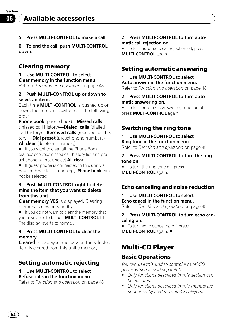<span id="page-53-0"></span>5 Press MULTI-CONTROL to make a call.

6 To end the call, push MULTI-CONTROL down.

## Clearing memory

Use MULTI-CONTROL to select Clear memory in the function menu. Refer to [Function and operation](#page-47-0) on page 48.

#### 2 Push MULTI-CONTROL up or down to select an item.

Each time **MULTI-CONTROL** is pushed up or down, the items are switched in the following order:

Phone book (phone book)—Missed calls (missed call history)—Dialed calls (dialled call history)—**Received calls** (received call history)—**Dial preset** (preset phone numbers)— All clear (delete all memory)

**If you want to clear all the Phone Book.** dialled/received/missed call history list and preset phone number, select All clear.

 $\blacksquare$  If guest phone is connected to this unit via Bluetooth wireless technology, Phone book cannot be selected.

#### 3 Push MULTI-CONTROL right to determine the item that you want to delete from this unit.

Clear memory YES is displayed. Clearing memory is now on standby.

 $\blacksquare$  If you do not want to clear the memory that you have selected, push **MULTI-CONTROL** left. The display reverts to normal.

#### 4 Press MULTI-CONTROL to clear the memory.

**Cleared** is displayed and data on the selected item is cleared from this unit's memory.

## Setting automatic rejecting

#### Use MULTI-CONTROL to select Refuse calls in the function menu.

Refer to [Function and operation](#page-47-0) on page 48.

#### 2 Press MULTI-CONTROL to turn automatic call rejection on.

■ To turn automatic call rejection off, press MULTI-CONTROL again.

## Setting automatic answering

# 1 Use MULTI-CONTROL to select

Auto answer in the function menu. Refer to [Function and operation](#page-47-0) on page 48.

#### 2 Press MULTI-CONTROL to turn automatic answering on.

■ To turn automatic answering function off, press **MULTI-CONTROL** again.

## Switching the ring tone

#### Use MULTI-CONTROL to select Ring tone in the function menu.

Refer to [Function and operation](#page-47-0) on page 48.

#### 2 Press MULTI-CONTROL to turn the ring tone on.

■ To turn the ring tone off, press MULTI-CONTROL again.

## Echo canceling and noise reduction

## 1 Use MULTI-CONTROL to select Echo cancel in the function menu.

Refer to [Function and operation](#page-47-0) on page 48.

#### 2 Press MULTI-CONTROL to turn echo canceling on.

■ To turn echo canceling off, press **MULTI-CONTROL** again.

# Multi-CD Player

## Basic Operations

You can use this unit to control a multi-CD player, which is sold separately.

- Only functions described in this section can be operated.
- Only functions described in this manual are supported by 50-disc multi-CD players.

54  $\rangle$   $_{\rm En}$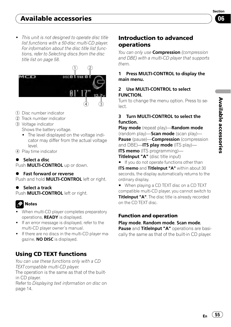Section በ6

<span id="page-54-0"></span>• This unit is not designed to operate disc title list functions with a 50-disc multi-CD player. For information about the disc title list functions, refer to [Selecting discs from the disc](#page-57-0) [title list on page 58.](#page-57-0)

![](_page_54_Picture_3.jpeg)

- 1 Disc number indicator
- 2 Track number indicator
- 3 Voltage indicator Shows the battery voltage.
	- The level displayed on the voltage indicator may differ from the actual voltage level.
- 4 Play time indicator

 $\bullet$  Select a disc Push **MULTI-CONTROL** up or down.

**•** Fast forward or reverse Push and hold **MULTI-CONTROL** left or right.

### Select a track

Push **MULTI-CONTROL** left or right.

# Notes

- When multi-CD player completes preparatory operations, READY is displayed.
- If an error message is displayed, refer to the multi-CD player owner's manual.
- . If there are no discs in the multi-CD player magazine, **NO DISC** is displayed.

# Using CD TEXT functions

You can use these functions only with a CD TEXT compatible multi-CD player. The operation is the same as that of the builtin CD player. Refer to [Displaying text information on disc](#page-13-0) on [page 14.](#page-13-0)

# Introduction to advanced operations

You can only use **Compression** (compression and DBE) with a multi-CD player that supports them.

### 1 Press MULTI-CONTROL to display the main menu.

### 2 Use MULTI-CONTROL to select FUNCTION.

Turn to change the menu option. Press to select.

### 3 Turn MULTI-CONTROL to select the function.

Play mode (repeat play)—Random mode (random play)—**Scan mode** (scan play)— Pause (pause)-Compression (compression and DBE)—**ITS play mode** (ITS play)— ITS memo (ITS programming)-TitleInput "A" (disc title input)

**If you do not operate functions other than ITS memo** and TitleInput "A" within about 30 seconds, the display automatically returns to the ordinary display.

■ When playing a CD TEXT disc on a CD TEXT compatible multi-CD player, you cannot switch to TitleInput "A". The disc title is already recorded on the CD TEXT disc.

## Function and operation

### Play mode, Random mode, Scan mode,

Pause and TitleInput "A" operations are basically the same as that of the built-in CD player.

 $E_n$  (55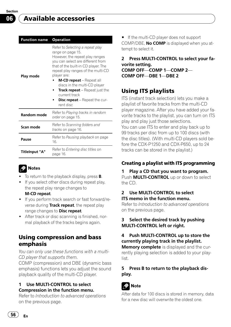<span id="page-55-0"></span>

| <b>Function name</b>  | <b>Operation</b>                                                                                                                                                                                                                                                                                                                                                                                            |  |
|-----------------------|-------------------------------------------------------------------------------------------------------------------------------------------------------------------------------------------------------------------------------------------------------------------------------------------------------------------------------------------------------------------------------------------------------------|--|
| Play mode             | Refer to Selecting a repeat play<br>range on page 15.<br>However, the repeat play ranges<br>you can select are different from<br>that of the built-in CD player. The<br>repeat play ranges of the multi-CD<br>player are:<br><b>M-CD repeat</b> – Repeat all<br>discs in the multi-CD player<br><b>Track repeat</b> – Repeat just the<br>current track<br><b>Disc repeat</b> – Repeat the cur-<br>rent disc |  |
| <b>Random mode</b>    | Refer to Playing tracks in random<br>order on page 15.                                                                                                                                                                                                                                                                                                                                                      |  |
| Scan mode             | Refer to Scanning folders and<br><i>tracks</i> on page 16.                                                                                                                                                                                                                                                                                                                                                  |  |
| Pause                 | Refer to Pausing playback on page<br>16.                                                                                                                                                                                                                                                                                                                                                                    |  |
| <b>TitleInput "A"</b> | Refer to <i>Entering disc titles</i> on<br>page 16.                                                                                                                                                                                                                                                                                                                                                         |  |
|                       |                                                                                                                                                                                                                                                                                                                                                                                                             |  |

# Notes

- $\bullet$  To return to the playback display, press **B**.
- If you select other discs during repeat play, the repeat play range changes to M-CD repeat.
	-
- If you perform track search or fast forward/reverse during Track repeat, the repeat play range changes to **Disc repeat**.
- After track or disc scanning is finished, normal playback of the tracks begins again.

## Using compression and bass emphasis

You can only use these functions with a multi-CD player that supports them.

COMP (compression) and DBE (dynamic bass emphasis) functions lets you adjust the sound playback quality of the multi-CD player.

#### 1 Use MULTI-CONTROL to select Compression in the function menu.

Refer to [Introduction to advanced operations](#page-54-0) [on the previous page](#page-54-0).

■ If the multi-CD player does not support COMP/DBE, **No COMP** is displayed when you attempt to select it.

2 Press MULTI-CONTROL to select your favorite setting. COMP OFF—COMP 1—COMP 2— COMP OFF—DBE 1—DBE 2

# Using ITS playlists

ITS (instant track selection) lets you make a playlist of favorite tracks from the multi-CD player magazine. After you have added your favorite tracks to the playlist, you can turn on ITS play and play just those selections. You can use ITS to enter and play back up to 99 tracks per disc from up to 100 discs (with the disc titles). (With multi-CD players sold before the CDX-P1250 and CDX-P650, up to 24 tracks can be stored in the playlist.)

## Creating a playlist with ITS programming

## 1 Play a CD that you want to program.

Push **MULTI-CONTROL** up or down to select the CD.

## 2 Use MULTI-CONTROL to select ITS memo in the function menu.

Refer to [Introduction to advanced operations](#page-54-0) [on the previous page](#page-54-0).

## 3 Select the desired track by pushing MULTI-CONTROL left or right.

## 4 Push MULTI-CONTROL up to store the currently playing track in the playlist.

Memory complete is displayed and the currently playing selection is added to your playlist.

## 5 Press B to return to the playback display.

# Note

After data for 100 discs is stored in memory, data for a new disc will overwrite the oldest one.

 $56$  )  $_{\rm En}$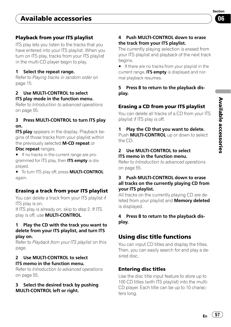## <span id="page-56-0"></span>Playback from your ITS playlist

ITS play lets you listen to the tracks that you have entered into your ITS playlist. When you turn on ITS play, tracks from your ITS playlist in the multi-CD player begin to play.

#### 1 Select the repeat range.

Refer to [Playing tracks in random order](#page-14-0) on [page 15.](#page-14-0)

### 2 Use MULTI-CONTROL to select ITS play mode in the function menu.

Refer to [Introduction to advanced operations](#page-54-0) [on page 55](#page-54-0).

#### 3 Press MULTI-CONTROL to turn ITS play on.

**ITS play** appears in the display. Playback begins of those tracks from your playlist within the previously selected M-CD repeat or

#### Disc repeat ranges.

**If no tracks in the current range are pro**grammed for ITS play, then ITS empty is displayed.

 $\blacksquare$  To turn ITS play off, press **MULTI-CONTROL** again.

## Erasing a track from your ITS playlist

You can delete a track from your ITS playlist if ITS play is on.

If ITS play is already on, skip to step 2. If ITS play is off, use **MULTI-CONTROL**.

#### 1 Play the CD with the track you want to delete from your ITS playlist, and turn ITS play on.

Refer to Playback from your ITS playlist on this page.

#### 2 Use MULTI-CONTROL to select ITS memo in the function menu.

Refer to [Introduction to advanced operations](#page-54-0) [on page 55](#page-54-0).

#### 3 Select the desired track by pushing MULTI-CONTROL left or right.

### 4 Push MULTI-CONTROL down to erase the track from your ITS playlist.

The currently playing selection is erased from your ITS playlist and playback of the next track begins.

**If there are no tracks from your playlist in the** current range, ITS empty is displayed and normal playback resumes.

5 Press B to return to the playback display.

## Erasing a CD from your ITS playlist

You can delete all tracks of a CD from your ITS playlist if ITS play is off.

### 1 Play the CD that you want to delete.

Push **MULTI-CONTROL** up or down to select the CD.

#### 2 Use MULTI-CONTROL to select ITS memo in the function menu.

Refer to [Introduction to advanced operations](#page-54-0) [on page 55.](#page-54-0)

#### 3 Push MULTI-CONTROL down to erase all tracks on the currently playing CD from your ITS playlist.

All tracks on the currently playing CD are deleted from your playlist and **Memory deleted** is displayed.

### 4 Press B to return to the playback display.

# Using disc title functions

You can input CD titles and display the titles. Then, you can easily search for and play a desired disc.

## Entering disc titles

Use the disc title input feature to store up to 100 CD titles (with ITS playlist) into the multi-CD player. Each title can be up to 10 characters long.

 $E_n$  (57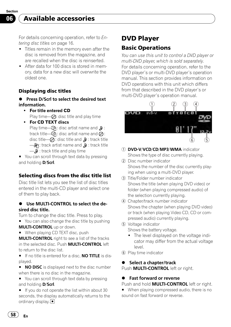<span id="page-57-0"></span>For details concerning operation, refer to [En](#page-15-0)[tering disc titles](#page-15-0) on page 16.

- ! Titles remain in the memory even after the disc is removed from the magazine, and are recalled when the disc is reinserted.
- After data for 100 discs is stored in memory, data for a new disc will overwrite the oldest one.

## Displaying disc titles

- **Press D/Scrl to select the desired text** information.
	- For title entered CD Play time— $\oslash$ : disc title and play time
	- For CD TEXT discs Play time— $\mathbb{G}$ : disc artist name and  $\mathbb{D}$ : track title— $\mathbb{G}$  : disc artist name and  $\bar{\mathcal{O}}$ : disc title— $\oslash$ : disc title and  $\oslash$ : track title  $\Box$ M: track artist name and  $\Box$  track title  $\longrightarrow$   $\mathbb{D}$  : track title and play time

■ You can scroll through text data by pressing and holding **D/Scrl**.

## Selecting discs from the disc title list

Disc title list lets you see the list of disc titles entered in the multi-CD player and select one of them to play back.

#### Use MULTI-CONTROL to select the desired disc title.

Turn to change the disc title. Press to play.

■ You can also change the disc title by pushing MULTI-CONTROL up or down.

■ When playing CD TEXT disc, push

**MULTI-CONTROL** right to see a list of the tracks in the selected disc. Push **MULTI-CONTROL** left to return to the disc list.

**If no title is entered for a disc, NO TITLE is dis**played.

**NO DISC** is displayed next to the disc number when there is no disc in the magazine.

■ You can scroll through text data by pressing and holding **D/Scrl**.

 $\blacksquare$  If you do not operate the list within about 30 seconds, the display automatically returns to the ordinary display.  $\Box$ 

# DVD Player

## Basic Operations

You can use this unit to control a DVD player or multi-DVD player, which is sold separately. For details concerning operation, refer to the DVD player's or multi-DVD player's operation manual. This section provides information on DVD operations with this unit which differs from that described in the DVD player's or multi-DVD player's operation manual.

![](_page_57_Picture_23.jpeg)

- 1 DVD-V/VCD/CD/MP3/WMA indicator Shows the type of disc currently playing.
- 2 Disc number indicator Shows the number of the disc currently playing when using a multi-DVD player.
- 3 Title/Folder number indicator Shows the title (when playing DVD video) or folder (when playing compressed audio) of the selection currently playing.
- 4 Chapter/track number indicator Shows the chapter (when playing DVD video) or track (when playing Video CD, CD or compressed audio) currently playing.
- 5 Voltage indicator
	- Shows the battery voltage.
	- The level displayed on the voltage indicator may differ from the actual voltage level.
- 6 Play time indicator

### Select a chapter/track

Push **MULTI-CONTROL** left or right.

## **•** Fast forward or reverse

Push and hold **MULTI-CONTROL** left or right.

■ When playing compressed audio, there is no sound on fast forward or reverse.

58  $\rangle$  En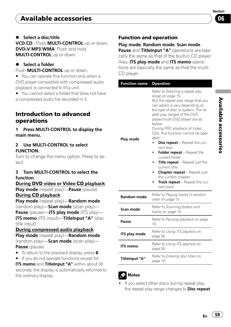#### <span id="page-58-0"></span>% Select a disc/title

VCD/CD: Push MULTI-CONTROL up or down. DVD-V/MP3/WMA: Push and hold MULTI-CONTROL up or down.

#### Select a folder

Push **MULTI-CONTROL** up or down.

■ You can operate this function only when a DVD player compatible with compressed audio playback is connected to this unit.

■ You cannot select a folder that does not have a compressed audio file recorded in it.

## Introduction to advanced operations

1 Press MULTI-CONTROL to display the main menu.

#### 2 Use MULTI-CONTROL to select FUNCTION.

Turn to change the menu option. Press to select.

#### 3 Turn MULTI-CONTROL to select the function.

During DVD video or Video CD playback Play mode (repeat play)—Pause (pause)

### During CD playback

Play mode (repeat play)—Random mode (random play)— $Scan mode$  (scan play)— Pause (pause)—ITS play mode (ITS play)— ITS memo (ITS input)-TitleInput "A" (disc title input)

#### During compressed audio playback

Play mode (repeat play)—Random mode (random play)—**Scan mode** (scan play)— Pause (pause)

- $\blacksquare$  To return to the playback display, press **B**.
- $\blacksquare$  If you do not operate functions except for

ITS memo and TitleInput "A" within about 30 seconds, the display is automatically returned to the ordinary display.

### Function and operation

Play mode, Random mode, Scan mode,

Pause and TitleInput "A" operations are basically the same as that of the built-in CD player. Also, ITS play mode and ITS memo operations are basically the same as that the multi-CD player.

| <b>Function name</b>  | <b>Operation</b>                                                                                                                                                                                                                                                                                                                                                                                                                                                                                                                                                                                      |  |
|-----------------------|-------------------------------------------------------------------------------------------------------------------------------------------------------------------------------------------------------------------------------------------------------------------------------------------------------------------------------------------------------------------------------------------------------------------------------------------------------------------------------------------------------------------------------------------------------------------------------------------------------|--|
| Play mode             | Refer to Selecting a repeat play<br>range on page 15.<br>But the repeat play range that you<br>can select is vary depending on<br>the type of disc or system. The re-<br>peat play ranges of the DVD<br>player/multi-DVD player are as<br>below:<br>During PBC playback of Video<br>CDs, this function cannot be oper-<br>ated.<br><b>Disc repeat</b> – Repeat the cur-<br>rent disc<br>Folder repeat - Repeat the<br>current folder<br>Title repeat - Repeat just the<br>current title<br><b>Chapter repeat</b> - Repeat just<br>the current chapter<br>Track repeat - Repeat the cur-<br>rent track |  |
| <b>Random mode</b>    | Refer to Playing tracks in random<br>order on page 15.                                                                                                                                                                                                                                                                                                                                                                                                                                                                                                                                                |  |
| Scan mode             | Refer to Scanning folders and<br>tracks on page 16.                                                                                                                                                                                                                                                                                                                                                                                                                                                                                                                                                   |  |
| Pause                 | Refer to Pausing playback on page<br>16.                                                                                                                                                                                                                                                                                                                                                                                                                                                                                                                                                              |  |
| ITS play mode         | Refer to Using ITS playlists on<br>page 56.                                                                                                                                                                                                                                                                                                                                                                                                                                                                                                                                                           |  |
| ITS memo              | Refer to Using ITS playlists on<br>page 56.                                                                                                                                                                                                                                                                                                                                                                                                                                                                                                                                                           |  |
| <b>TitleInput "A"</b> | Refer to Entering disc titles on<br>page 16.                                                                                                                                                                                                                                                                                                                                                                                                                                                                                                                                                          |  |
|                       |                                                                                                                                                                                                                                                                                                                                                                                                                                                                                                                                                                                                       |  |

## Notes

If you select other discs during repeat play, the repeat play range changes to **Disc repeat**.

Section በ6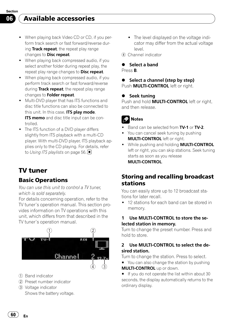<span id="page-59-0"></span>Available accessories

- When playing back Video CD or CD, if you perform track search or fast forward/reverse during Track repeat, the repeat play range changes to **Disc repeat**.
- ! When playing back compressed audio, if you select another folder during repeat play, the repeat play range changes to **Disc repeat**.
- ! When playing back compressed audio, if you perform track search or fast forward/reverse during Track repeat, the repeat play range changes to Folder repeat.
- ! Multi-DVD player that has ITS functions and disc title functions can also be connected to this unit. In this case, ITS plav mode. **ITS memo** and disc title input can be controlled.
- The ITS function of a DVD player differs slightly from ITS playback with a multi-CD player. With multi-DVD player, ITS playback applies only to the CD playing. For details, refer to [Using ITS playlists](#page-55-0) on page 56.

# TV tuner

## Basic Operations

You can use this unit to control a TV tuner, which is sold separately.

For details concerning operation, refer to the TV tuner's operation manual. This section provides information on TV operations with this unit, which differs from that described in the TV tuner's operation manual.

![](_page_59_Picture_11.jpeg)

- 1 Band indicator
- 2 Preset number indicator
- 3 Voltage indicator Shows the battery voltage.
- The level displayed on the voltage indicator may differ from the actual voltage level.
- 4 Channel indicator

## Select a band

Press B.

#### Select a channel (step by step) Push **MULTI-CONTROL** left or right.

#### **Seek tuning**

Push and hold **MULTI-CONTROL** left or right, and then release.

# **Notes**

- Band can be selected from TV-1 or TV-2.
- You can cancel seek tuning by pushing MULTI-CONTROL left or right.
- While pushing and holding **MULTI-CONTROL** left or right, you can skip stations. Seek tuning starts as soon as you release MULTI-CONTROL.

## Storing and recalling broadcast stations

You can easily store up to 12 broadcast stations for later recall.

• 12 stations for each band can be stored in memory.

#### 1 Use MULTI-CONTROL to store the selected station in memory.

Turn to change the preset number. Press and hold to store.

#### 2 Use MULTI-CONTROL to select the desired station.

Turn to change the station. Press to select.

■ You can also change the station by pushing **MULTI-CONTROL** up or down.

 $\blacksquare$  If you do not operate the list within about 30 seconds, the display automatically returns to the ordinary display.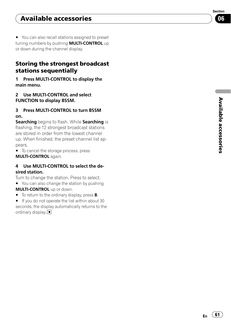<span id="page-60-0"></span>■ You can also recall stations assigned to preset tuning numbers by pushing **MULTI-CONTROL** up or down during the channel display.

## Storing the strongest broadcast stations sequentially

1 Press MULTI-CONTROL to display the main menu.

2 Use MULTI-CONTROL and select FUNCTION to display BSSM.

3 Press MULTI-CONTROL to turn BSSM on.

Searching begins to flash. While Searching is flashing, the 12 strongest broadcast stations are stored in order from the lowest channel up. When finished, the preset channel list appears.

 $\blacksquare$  To cancel the storage process, press MULTI-CONTROL again.

### 4 Use MULTI-CONTROL to select the desired station.

Turn to change the station. Press to select.

■ You can also change the station by pushing MULTI-CONTROL up or down.

 $\blacksquare$  To return to the ordinary display, press **B**.

 $\blacksquare$  If you do not operate the list within about 30 seconds, the display automatically returns to the ordinary display.  $\Box$ 

![](_page_60_Picture_14.jpeg)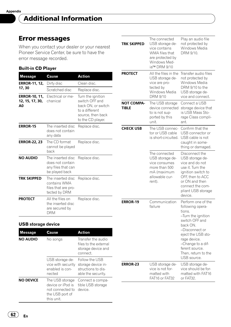## <span id="page-61-0"></span>Error messages

When you contact your dealer or your nearest Pioneer Service Center, be sure to have the error message recorded.

#### Built-in CD Player

| <b>Message</b>                                | Cause                                                                         | Action                                                                                                                |
|-----------------------------------------------|-------------------------------------------------------------------------------|-----------------------------------------------------------------------------------------------------------------------|
| <b>ERROR-11, 12,</b>                          | Dirty disc                                                                    | Clean disc.                                                                                                           |
| 17, 30                                        | Scratched disc                                                                | Replace disc.                                                                                                         |
| <b>ERROR-10, 11,</b><br>12, 15, 17, 30,<br>A0 | Flectrical or me-<br>chanical                                                 | Turn the ignition<br>switch OFF and<br>back ON, or switch<br>to a different<br>source, then back<br>to the CD player. |
| <b>ERROR-15</b>                               | The inserted disc<br>does not contain<br>any data                             | Replace disc.                                                                                                         |
| <b>ERROR-22, 23</b>                           | The CD format<br>cannot be played<br>back                                     | Replace disc.                                                                                                         |
| NO AUDIO                                      | The inserted disc<br>does not contain<br>any files that can<br>be played back | Replace disc.                                                                                                         |
| TRK SKIPPED                                   | The inserted disc<br>contains WMA<br>files that are pro-<br>tected by DRM     | Replace disc.                                                                                                         |
| <b>PROTECT</b>                                | All the files on<br>the inserted disc<br>are secured by<br>DRM                | Replace disc.                                                                                                         |

### USB storage device

| <b>Message</b>   | Cause                                                                                     | Action                                                                           |
|------------------|-------------------------------------------------------------------------------------------|----------------------------------------------------------------------------------|
| NO AUDIO         | No songs                                                                                  | Transfer the audio<br>files to the external<br>storage device and<br>connect.    |
|                  | USB storage de-<br>vice with security<br>enabled is con-<br>nected                        | Follow the USB<br>storage device in-<br>structions to dis-<br>able the security. |
| <b>NO DEVICE</b> | The USB storage<br>device or iPod is<br>not connected to<br>the USB port of<br>this unit. | Connect a compa-<br>tible USB storage<br>device.                                 |

| <b>TRK SKIPPED</b>         | The connected<br>USB storage de-<br>vice contains<br>WMA files that<br>are protected by<br>Windows Med-<br>ia™ DRM 9/10 | Play an audio file<br>not protected by<br>Windows Media<br>DRM 9/10.                                                                                                                                                                      |
|----------------------------|-------------------------------------------------------------------------------------------------------------------------|-------------------------------------------------------------------------------------------------------------------------------------------------------------------------------------------------------------------------------------------|
| PROTECT                    | All the files in the<br>USB storage de-<br>vice are pro-<br>tected by<br>Windows Media<br><b>DRM 9/10</b>               | Transfer audio files<br>not protected by<br>Windows Media<br>DRM 9/10 to the<br>USB storage de-<br>vice and connect.                                                                                                                      |
| <b>NOT COMPA-</b><br>TIBLE | The USB storage<br>device connected<br>to is not sup-<br>ported by this<br>unit.                                        | Connect a USB<br>storage device that<br>is USB Mass Sto-<br>rage Class compli-<br>ant.                                                                                                                                                    |
| <b>CHECK USB</b>           | The USB connec-<br>tor or USB cable<br>is short-circuited.                                                              | Confirm that the<br>USB connector or<br>USB cable is not<br>caught in some-<br>thing or damaged.                                                                                                                                          |
|                            | The connected<br>USB storage de-<br>vice consumes<br>more than 500<br>mA (maximum<br>allowable cur-<br>rent).           | Disconnect the<br>USB storage de-<br>vice and do not<br>use it. Turn the<br>ignition switch to<br>OFF, then to ACC<br>or ON and then<br>connect the com-<br>pliant USB storage<br>device.                                                 |
| <b>ERROR-19</b>            | Communication<br>failure                                                                                                | Perform one of the<br>following opera-<br>tions.<br>–Turn the ignition<br>switch OFF and<br>back ON.<br>-Disconnect or<br>eject the USB sto-<br>rage device.<br>-Change to a dif-<br>ferent source.<br>Then, return to the<br>USB source. |
| <b>ERROR-23</b>            | USB storage de-<br>vice is not for-<br>matted with<br>FAT16 or FAT32                                                    | USB storage de-<br>vice should be for-<br>matted with FAT16<br>or FAT32.                                                                                                                                                                  |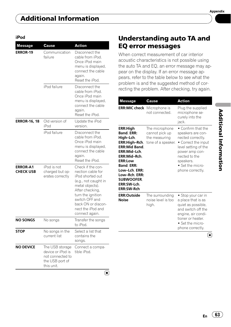<span id="page-62-0"></span>

| <b>Message</b>                      | Cause                                                                                     | Action                                                                                                                                                                                                                       |
|-------------------------------------|-------------------------------------------------------------------------------------------|------------------------------------------------------------------------------------------------------------------------------------------------------------------------------------------------------------------------------|
| <b>ERROR-19</b>                     | Communication<br>failure                                                                  | Disconnect the<br>cable from iPod.<br>Once iPod main<br>menu is displayed,<br>connect the cable<br>again.<br>Reset the iPod.                                                                                                 |
|                                     | iPod failure                                                                              | Disconnect the<br>cable from iPod.<br>Once iPod main<br>menu is displayed,<br>connect the cable<br>again.<br>Reset the iPod.                                                                                                 |
| <b>ERROR-16, 18</b>                 | Old version of<br>iPod                                                                    | Update the iPod<br>version.                                                                                                                                                                                                  |
|                                     | iPod failure                                                                              | Disconnect the<br>cable from iPod.<br>Once iPod main<br>menu is displayed,<br>connect the cable<br>again.<br>Reset the iPod.                                                                                                 |
| <b>ERROR-A1</b><br><b>CHECK USB</b> | iPod is not<br>charged but op-<br>erates correctly                                        | Check if the con-<br>nection cable for<br>iPod shorted out<br>(e.g., not caught in<br>metal objects).<br>After checking,<br>turn the ignition<br>switch OFF and<br>back ON or discon-<br>nect the iPod and<br>connect again. |
| NO SONGS                            | No songs                                                                                  | Transfer the songs<br>to iPod.                                                                                                                                                                                               |
| <b>STOP</b>                         | No songs in the<br>current list                                                           | Select a list that<br>contains the<br>songs.                                                                                                                                                                                 |
| <b>NO DEVICE</b>                    | The USB storage<br>device or iPod is<br>not connected to<br>the USB port of<br>this unit. | Connect a compa-<br>tible iPod.                                                                                                                                                                                              |
|                                     |                                                                                           | ı.                                                                                                                                                                                                                           |

# Understanding auto TA and

When correct measurement of car interior acoustic characteristics is not possible using the auto TA and EQ, an error message may appear on the display. If an error message appears, refer to the table below to see what the problem is and the suggested method of correcting the problem. After checking, try again.

EQ error messages

| <b>Message</b>                                                                                                                                                                                                                                               | Cause                                                                   | Action                                                                                                                                                                                              |
|--------------------------------------------------------------------------------------------------------------------------------------------------------------------------------------------------------------------------------------------------------------|-------------------------------------------------------------------------|-----------------------------------------------------------------------------------------------------------------------------------------------------------------------------------------------------|
| ERR:MIC check                                                                                                                                                                                                                                                | Microphone is<br>not connected.                                         | Plug the supplied<br>microphone se-<br>curely into the<br>jack.                                                                                                                                     |
| <b>ERR:High</b><br><b>Band, ERR:</b><br>Hiah-Lch.<br>ERR:High-Rch.<br><b>ERR:Mid Band.</b><br>ERR:Mid-Lch.<br>ERR:Mid-Rch.<br><b>ERR:Low</b><br><b>Band. ERR:</b><br>Low-Lch. ERR:<br>Low-Rch. ERR:<br><b>SUBWOOFER.</b><br>ERR:SW-Lch.<br><b>ERR:SW-Rch</b> | The microphone<br>cannot pick up<br>the measuring<br>tone of a speaker. | • Confirm that the<br>speakers are con-<br>nected correctly.<br>• Correct the input<br>level setting of the<br>power amp con-<br>nected to the<br>speakers.<br>• Set the micro-<br>phone correctly. |
| <b>ERR:Outside</b><br><b>Noise</b>                                                                                                                                                                                                                           | The surrounding<br>noise level is too<br>high.                          | • Stop your car in<br>a place that is as<br>quiet as possible.<br>and switch off the<br>engine, air condi-<br>tioner or heater.<br>• Set the micro-<br>phone correctly.                             |
|                                                                                                                                                                                                                                                              |                                                                         |                                                                                                                                                                                                     |

Appendix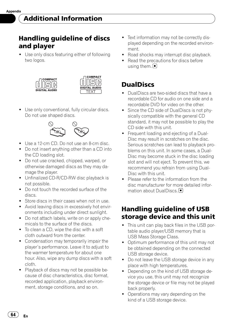# <span id="page-63-0"></span>Handling guideline of discs and player

• Use only discs featuring either of following two logos.

![](_page_63_Picture_4.jpeg)

![](_page_63_Picture_5.jpeg)

• Use only conventional, fully circular discs. Do not use shaped discs.

![](_page_63_Figure_7.jpeg)

- Use a 12-cm CD. Do not use an 8-cm disc.
- Do not insert anything other than a CD into the CD loading slot.
- ! Do not use cracked, chipped, warped, or otherwise damaged discs as they may damage the player.
- Unfinalized CD-R/CD-RW disc playback is not possible.
- ! Do not touch the recorded surface of the discs.
- Store discs in their cases when not in use.
- Avoid leaving discs in excessively hot environments including under direct sunlight.
- Do not attach labels, write on or apply chemicals to the surface of the discs.
- To clean a CD, wipe the disc with a soft cloth outward from the center.
- ! Condensation may temporarily impair the player's performance. Leave it to adjust to the warmer temperature for about one hour. Also, wipe any dump discs with a soft cloth.
- Playback of discs may not be possible because of disc characteristics, disc format, recorded application, playback environment, storage conditions, and so on.
- Text information may not be correctly displayed depending on the recorded environment.
- Road shocks may interrupt disc playback.
- Read the precautions for discs before using them.  $\Box$

# DualDiscs

- . DualDiscs are two-sided discs that have a recordable CD for audio on one side and a recordable DVD for video on the other.
- Since the CD side of DualDiscs is not physically compatible with the general CD standard, it may not be possible to play the CD side with this unit.
- Frequent loading and ejecting of a Dual-Disc may result in scratches on the disc. Serious scratches can lead to playback problems on this unit. In some cases, a Dual-Disc may become stuck in the disc loading slot and will not eject. To prevent this, we recommend you refrain from using Dual-Disc with this unit.
- ! Please refer to the information from the disc manufacturer for more detailed information about DualDiscs. ■

# Handling guideline of USB storage device and this unit

- This unit can play back files in the USB portable audio player/USB memory that is USB Mass Storage Class.
- ! Optimum performance of this unit may not be obtained depending on the connected USB storage device.
- Do not leave the USB storage device in any place with high temperatures.
- Depending on the kind of USB storage device you use, this unit may not recognize the storage device or file may not be played back properly.
- Operations may vary depending on the kind of a USB storage device.

64) <sub>En</sub>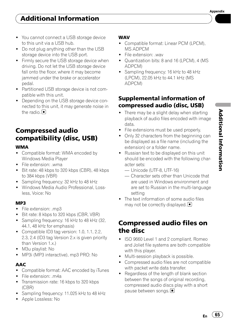- <span id="page-64-0"></span>• You cannot connect a USB storage device to this unit via a USB hub.
- Do not plug anything other than the USB storage device into the USB port.
- Firmly secure the USB storage device when driving. Do not let the USB storage device fall onto the floor, where it may become jammed under the brake or accelerator pedal.
- Partitioned USB storage device is not compatible with this unit.
- Depending on the USB storage device connected to this unit, it may generate noise in the radio.  $\blacksquare$

# Compressed audio compatibility (disc, USB)

#### WMA

- Compatible format: WMA encoded by Windows Media Player
- File extension: .wma
- ! Bit rate: 48 kbps to 320 kbps (CBR), 48 kbps to 384 kbps (VBR)
- Sampling frequency: 32 kHz to 48 kHz
- . Windows Media Audio Professional, Lossless, Voice: No

#### MP3

- File extension: .mp3
- Bit rate: 8 kbps to 320 kbps (CBR, VBR)
- Sampling frequency: 16 kHz to 48 kHz (32, 44.1, 48 kHz for emphasis)
- Compatible ID3 tag version: 1.0, 1.1, 2.2, 2.3, 2.4 (ID3 tag Version 2.x is given priority than Version 1.x.)
- M3u playlist: No
- MP3i (MP3 interactive), mp3 PRO: No

## AAC

- Compatible format: AAC encoded by iTunes
- File extension: .m4a
- Transmission rate: 16 kbps to 320 kbps (CBR)
- Sampling frequency: 11.025 kHz to 48 kHz
- Apple Lossless: No

#### WAV

- Compatible format: Linear PCM (LPCM), MS ADPCM
- File extension: way
- Quantization bits: 8 and 16 (LPCM), 4 (MS) ADPCM)
- Sampling frequency: 16 kHz to 48 kHz (LPCM), 22.05 kHz to 44.1 kHz (MS ADPCM)

## Supplemental information of compressed audio (disc, USB)

- There may be a slight delay when starting playback of audio files encoded with image data.
- File extensions must be used properly.
- Only 32 characters from the beginning can be displayed as a file name (including the extension) or a folder name.
- ! Russian text to be displayed on this unit should be encoded with the following character sets:
	- Unicode (UTF-8, UTF-16)
	- Character sets other than Unicode that are used in Windows environment and are set to Russian in the multi-language setting
- The text information of some audio files may not be correctly displayed.  $\Box$

# Compressed audio files on the disc

- ! ISO 9660 Level 1 and 2 compliant. Romeo and Joliet file systems are both compatible with this player.
- Multi-session playback is possible.
- ! Compressed audio files are not compatible with packet write data transfer.
- Regardless of the length of blank section between the songs of original recording, compressed audio discs play with a short pause between songs.

 $E_n$  (65)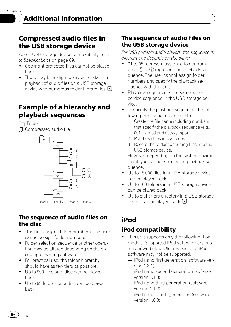# <span id="page-65-0"></span>Compressed audio files in the USB storage device

About USB storage device compatibility, refer to [Specifications](#page-68-0) on page 69.

- Copyright protected files cannot be played back.
- There may be a slight delay when starting playback of audio files on a USB storage device with numerous folder hierarchies. ■

# Example of a hierarchy and playback sequences

: Folder : Compressed audio file

![](_page_65_Figure_8.jpeg)

Level 1 Level 2 Level 3 Level 4

## The sequence of audio files on the disc

- ! This unit assigns folder numbers. The user cannot assign folder numbers.
- Folder selection sequence or other operation may be altered depending on the encoding or writing software.
- For practical use, the folder hierarchy should have as few tiers as possible.
- Up to 999 files on a disc can be played back.
- Up to 99 folders on a disc can be played back.

## The sequence of audio files on the USB storage device

For USB portable audio players, the sequence is different and depends on the player.

- 01 to 05 represent assigned folder numbers.  $(1)$  to  $(6)$  represent the playback sequence. The user cannot assign folder numbers and specify the playback sequence with this unit.
- Playback sequence is the same as recorded sequence in the USB storage device.
- . To specify the playback sequence, the following method is recommended.
	- 1 Create the file name including numbers that specify the playback sequence (e.g., 001xxx.mp3 and 099yyy.mp3).
	- 2 Put those files into a folder.
	- 3 Record the folder containing files into the USB storage device.

However, depending on the system environment, you cannot specify the playback sequence.

- Up to 15 000 files in a USB storage device can be played back.
- Up to 500 folders in a USB storage device can be played back.
- Up to eight tiers directory in a USB storage device can be played back.

# iPod

# iPod compatibility

- This unit supports only the following iPod models. Supported iPod software versions are shown below. Older versions of iPod software may not be supported.
	- iPod nano first generation (software version 1.3.1)
	- iPod nano second generation (software version 1.1.3)
	- iPod nano third generation (software version 1.1.2)
	- iPod nano fourth generation (software version 1.0.3)

66  $\angle$  En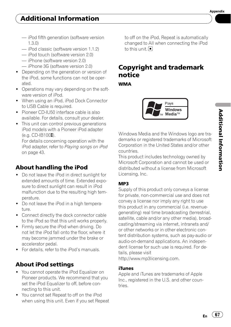- <span id="page-66-0"></span>— iPod fifth generation (software version
- iPod classic (software version 1.1.2)
- iPod touch (software version 2.0)
- iPhone (software version 2.0)

1.3.0)

- iPhone 3G (software version 2.0)
- Depending on the generation or version of the iPod, some functions can not be operated.
- Operations may vary depending on the software version of iPod.
- When using an iPod, iPod Dock Connector to USB Cable is required.
- ! Pioneer CD-IU50 interface cable is also available. For details, consult your dealer.
- This unit can control previous generations iPod models with a Pioneer iPod adapter  $(e.a. CD-IB100\text{I})$ .

For details concerning operation with the iPod adapter, refer to [Playing songs on iPod](#page-42-0) [on page 43.](#page-42-0)

## About handling the iPod

- Do not leave the iPod in direct sunlight for extended amounts of time. Extended exposure to direct sunlight can result in iPod malfunction due to the resulting high temperature.
- Do not leave the iPod in a high temperature.
- Connect directly the dock connector cable to the iPod so that this unit works properly.
- ! Firmly secure the iPod when driving. Do not let the iPod fall onto the floor, where it may become jammed under the brake or accelerator pedal.
- For details, refer to the iPod's manuals.

## About iPod settings

- You cannot operate the iPod Equalizer on Pioneer products. We recommend that you set the iPod Equalizer to off, before connecting to this unit.
- ! You cannot set Repeat to off on the iPod when using this unit. Even if you set Repeat

to off on the iPod, Repeat is automatically changed to All when connecting the iPod to this unit.<sup>1</sup>

# Copyright and trademark notice

**WMA** 

![](_page_66_Picture_25.jpeg)

Windows Media and the Windows logo are trademarks or registered trademarks of Microsoft Corporation in the United States and/or other countries.

This product includes technology owned by Microsoft Corporation and cannot be used or distributed without a license from Microsoft Licensing, Inc.

#### MP3

Supply of this product only conveys a license for private, non-commercial use and does not convey a license nor imply any right to use this product in any commercial (i.e. revenuegenerating) real time broadcasting (terrestrial, satellite, cable and/or any other media), broadcasting/streaming via internet, intranets and/ or other networks or in other electronic content distribution systems, such as pay-audio or audio-on-demand applications. An independent license for such use is required. For details, please visit

http://www.mp3licensing.com.

#### iTunes

Apple and iTunes are trademarks of Apple Inc., registered in the U.S. and other countries.

 $E_n$  (67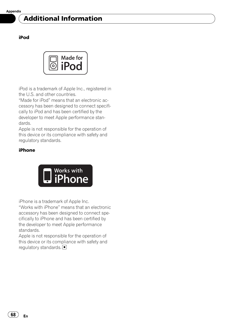# Additional Information

#### iPod

![](_page_67_Picture_3.jpeg)

iPod is a trademark of Apple Inc., registered in the U.S. and other countries.

"Made for iPod" means that an electronic accessory has been designed to connect specifically to iPod and has been certified by the developer to meet Apple performance standards.

Apple is not responsible for the operation of this device or its compliance with safety and regulatory standards.

#### iPhone

![](_page_67_Picture_8.jpeg)

iPhone is a trademark of Apple Inc.

"Works with iPhone" means that an electronic accessory has been designed to connect specifically to iPhone and has been certified by the developer to meet Apple performance standards.

Apple is not responsible for the operation of this device or its compliance with safety and regulatory standards.

68  $\angle$  En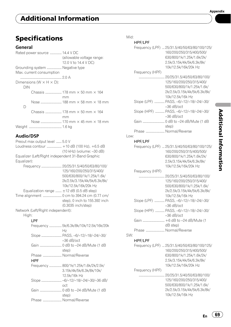# <span id="page-68-0"></span>Additional Information

# Specifications

## General

|     | Rated power source  14.4 V DC         |                              |
|-----|---------------------------------------|------------------------------|
|     |                                       | (allowable voltage range:    |
|     |                                       | 12.0 V to 14.4 V DC)         |
|     | Grounding system  Negative type       |                              |
|     | Max. current consumption              |                              |
|     |                                       |                              |
|     | Dimensions ( $W \times H \times D$ ): |                              |
| DIN |                                       |                              |
|     |                                       |                              |
|     |                                       | mm                           |
|     |                                       |                              |
| D   |                                       |                              |
|     |                                       |                              |
|     |                                       | mm                           |
|     |                                       | Nose  170 mm × 45 mm × 18 mm |
|     |                                       |                              |
|     |                                       |                              |

# Audio/DSP

| Preout max output level  5.0 V                    |                                        |
|---------------------------------------------------|----------------------------------------|
| Loudness contour  +10 dB (100 Hz), +6.5 dB        |                                        |
|                                                   | (10 kHz) (volume: -30 dB)              |
| Equalizer (Left/Right independent 31-Band Graphic |                                        |
| Equalizer):                                       |                                        |
|                                                   | Frequency  20/25/31.5/40/50/63/80/100/ |
|                                                   | 125/160/200/250/315/400/               |
|                                                   | 500/630/800/1k/1.25k/1.6k/             |
|                                                   | 2k/2.5k/3.15k/4k/5k/6.3k/8k/           |
|                                                   | 10k/12.5k/16k/20k Hz                   |
| Equalization range $\pm$ 12 dB (0.5 dB step)      |                                        |
|                                                   |                                        |
|                                                   | step), 0 inch to 155.392 inch          |
|                                                   | (0.3035 inch/step)                     |
| Network (Left/Right independent):                 |                                        |
| High:                                             |                                        |
| LPF                                               |                                        |

|                       | Frequency  5k/6.3k/8k/10k/12.5k/16k/20k |
|-----------------------|-----------------------------------------|
|                       | Нz                                      |
|                       | Slope  PASS, -6/-12/-18/-24/-30/        |
|                       | $-36$ dB/oct                            |
|                       |                                         |
|                       | step)                                   |
| Phase  Normal/Reverse |                                         |
| HPF                   |                                         |
|                       | Frequency  800/1k/1.25k/1.6k/2k/2.5k/   |
|                       | 3.15k/4k/5k/6.3k/8k/10k/                |
|                       | 12.5k/16k Hz                            |
|                       | Slope  -6/-12/-18/-24/-30/-36 dB/       |
|                       | oct                                     |
|                       |                                         |
|                       | step)                                   |
| Phase  Normal/Reverse |                                         |
|                       |                                         |

#### Mid:

HPF/LPF

|      |                       | Frequency (LPF)  25/31.5/40/50/63/80/100/125/<br>160/200/250/315/400/500/<br>630/800/1k/1.25k/1.6k/2k/<br>2.5k/3.15k/4k/5k/6.3k/8k/<br>10k/12.5k/16k/20k Hz |
|------|-----------------------|-------------------------------------------------------------------------------------------------------------------------------------------------------------|
|      | Frequency (HPF)       |                                                                                                                                                             |
|      |                       | 125/160/200/250/315/400/<br>500/630/800/1k/1.25k/1.6k/<br>2k/2.5k/3.15k/4k/5k/6.3k/8k/<br>10k/12.5k/16k Hz                                                  |
|      |                       | Slope (LPF)  PASS, -6/-12/-18/-24/-30/<br>$-36$ dB/oct                                                                                                      |
|      |                       | Slope (HPF)  PASS, -6/-12/-18/-24/-30/<br>$-36$ dB/oct                                                                                                      |
|      |                       | step)                                                                                                                                                       |
| Low: | Phase  Normal/Reverse |                                                                                                                                                             |
|      | HPF/LPF               |                                                                                                                                                             |
|      |                       | Frequency (LPF)  25/31.5/40/50/63/80/100/125/<br>160/200/250/315/400/500/<br>630/800/1k/1.25k/1.6k/2k/<br>2.5k/3.15k/4k/5k/6.3k/8k/<br>10k/12.5k/16k/20k Hz |
|      | Frequency (HPF)       |                                                                                                                                                             |
|      |                       | 125/160/200/250/315/400/<br>500/630/800/1k/1.25k/1.6k/<br>2k/2.5k/3.15k/4k/5k/6.3k/8k/<br>10k/12.5k/16k Hz                                                  |
|      |                       | Slope (LPF)  PASS, -6/-12/-18/-24/-30/<br>$-36$ dB/oct                                                                                                      |
|      |                       | Slope (HPF)  PASS, -6/-12/-18/-24/-30/<br>$-36$ dB/oct                                                                                                      |
|      |                       | Gain  +6 dB to -24 dB/Mute (1<br>$dB$ step)                                                                                                                 |
| SW:  | Phase  Normal/Reverse |                                                                                                                                                             |
|      | HPF/LPF               |                                                                                                                                                             |
|      |                       | Frequency (LPF)  25/31.5/40/50/63/80/100/125/<br>160/200/250/315/400/500/<br>630/800/1k/1.25k/1.6k/2k/                                                      |
|      | Frequency (HPF)       | 2.5k/3.15k/4k/5k/6.3k/8k/<br>10k/12.5k/16k/20k Hz                                                                                                           |
|      |                       | 125/160/200/250/315/400/<br>500/630/800/1k/1.25k/1.6k/<br>2k/2.5k/3.15k/4k/5k/6.3k/8k/<br>10k/12.5k/16k Hz                                                  |

 $\overline{\phantom{a}}$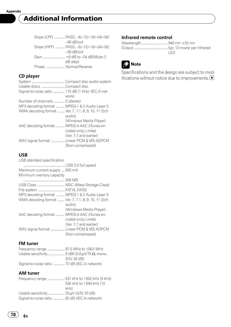# Additional Information

|                       | Slope (LPF)  PASS, -6/-12/-18/-24/-30/ |
|-----------------------|----------------------------------------|
|                       | $-36$ dB/oct                           |
|                       | Slope (HPF)  PASS, -6/-12/-18/-24/-30/ |
|                       | $-36$ dB/oct                           |
|                       |                                        |
|                       | dB step)                               |
| Phase  Normal/Reverse |                                        |
|                       |                                        |

## CD player

| Usable discs  Compact disc                          |                        |
|-----------------------------------------------------|------------------------|
| Signal-to-noise ratio  115 dB (1 kHz) (IEC-A net-   | work)                  |
| Number of channels  2 (stereo)                      |                        |
| MP3 decoding format  MPEG-1 & 2 Audio Layer 3       |                        |
| WMA decoding format  Ver. 7, 7.1, 8, 9, 10, 11 (2ch |                        |
|                                                     | audio)                 |
|                                                     | (Windows Media Player) |
| AAC decoding format  MPEG-4 AAC (iTunes en-         |                        |
|                                                     | coded only) (.m4a)     |
|                                                     | (Ver. 7.7 and earlier) |
| WAV signal format  Linear PCM & MS ADPCM            |                        |
|                                                     | (Non-compressed)       |
|                                                     |                        |

#### USB

| USB standard specification                          |                        |
|-----------------------------------------------------|------------------------|
|                                                     |                        |
| Maximum current supply  500 mA                      |                        |
| Minimum memory capacity                             |                        |
|                                                     |                        |
|                                                     |                        |
| File system  FAT16, FAT32                           |                        |
| MP3 decoding format  MPEG-1 & 2 Audio Layer 3       |                        |
| WMA decoding format  Ver. 7, 7.1, 8, 9, 10, 11 (2ch | audio)                 |
|                                                     | (Windows Media Player) |
| AAC decoding format  MPEG-4 AAC (iTunes en-         | coded only) (.m4a)     |
|                                                     | (Ver. 7.7 and earlier) |
| WAV signal format  Linear PCM & MS ADPCM            | (Non-compressed)       |
|                                                     |                        |

#### FM tuner

| Frequency range  87.5 MHz to 108.0 MHz       |             |
|----------------------------------------------|-------------|
|                                              |             |
|                                              | S/N: 30 dB) |
| Signal-to-noise ratio  72 dB (IEC-A network) |             |

#### AM tuner

|                                              | 530 kHz to 1640 kHz (10 |
|----------------------------------------------|-------------------------|
|                                              | kHz                     |
|                                              |                         |
| Signal-to-noise ratio  62 dB (IEC-A network) |                         |

#### Infrared remote control

Wavelength ................................. 940 nm ±50 nm Output ........................................... typ; 12 mw/sr per Infrared LED

![](_page_69_Picture_13.jpeg)

Specifications and the design are subject to modifications without notice due to improvements.<sup>■</sup>